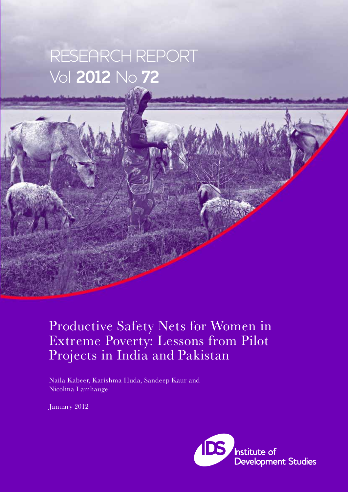# RESEARCH REPORT Vol **2012** No **72**

# Productive Safety Nets for Women in Extreme Poverty: Lessons from Pilot Projects in India and Pakistan

Naila Kabeer, Karishma Huda, Sandeep Kaur and Nicolina Lamhauge

January 2012

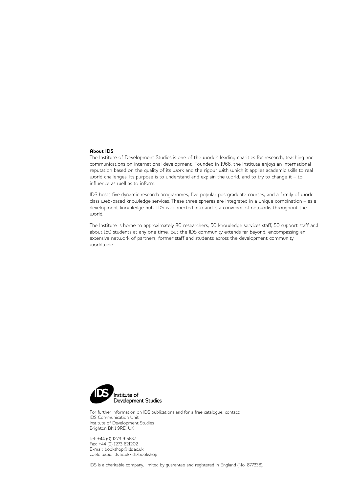#### **About IDS**

The Institute of Development Studies is one of the world's leading charities for research, teaching and communications on international development. Founded in 1966, the Institute enjoys an international reputation based on the quality of its work and the rigour with which it applies academic skills to real world challenges. Its purpose is to understand and explain the world, and to try to change it – to influence as well as to inform.

IDS hosts five dynamic research programmes, five popular postgraduate courses, and a family of worldclass web-based knowledge services. These three spheres are integrated in a unique combination – as a development knowledge hub, IDS is connected into and is a convenor of networks throughout the world.

The Institute is home to approximately 80 researchers, 50 knowledge services staff, 50 support staff and about 150 students at any one time. But the IDS community extends far beyond, encompassing an extensive network of partners, former staff and students across the development community worldwide.



For further information on IDS publications and for a free catalogue, contact: IDS Communication Unit Institute of Development Studies Brighton BN1 9RE, UK

Tel: +44 (0) 1273 915637 Fax: +44 (0) 1273 621202 E-mail: bookshop@ids.ac.uk Web: www.ids.ac.uk/ids/bookshop

IDS is a charitable company, limited by guarantee and registered in England (No. 877338).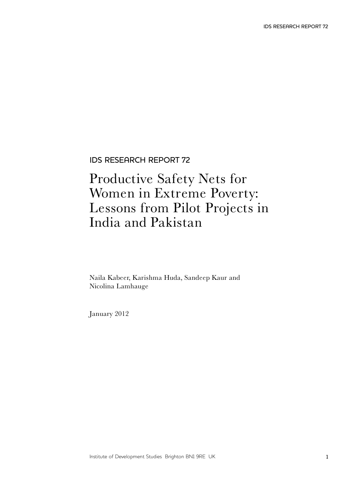IDS RESEARCH REPORT 72

### Productive Safety Nets for Women in Extreme Poverty: Lessons from Pilot Projects in India and Pakistan

Naila Kabeer, Karishma Huda, Sandeep Kaur and Nicolina Lamhauge

January 2012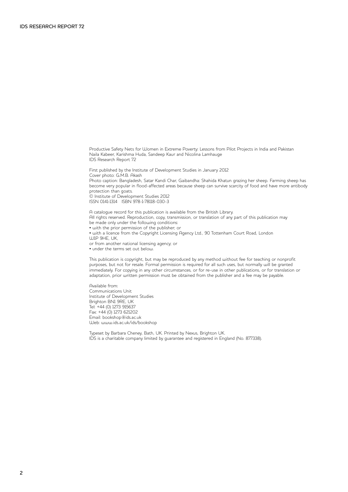Productive Safety Nets for Women in Extreme Poverty: Lessons from Pilot Projects in India and Pakistan Naila Kabeer, Karishma Huda, Sandeep Kaur and Nicolina Lamhauge IDS Research Report 72

First published by the Institute of Development Studies in January 2012 Cover photo: G.M.B. Akash Photo caption: Bangladesh, Satar Kandi Char, Gaibandha: Shahida Khatun grazing her sheep. Farming sheep has become very popular in flood-affected areas because sheep can survive scarcity of food and have more antibody protection than goats. © Institute of Development Studies 2012 ISSN 0141-1314 ISBN 978-1-78118-030-3

A catalogue record for this publication is available from the British Library. All rights reserved. Reproduction, copy, transmission, or translation of any part of this publication may be made only under the following conditions: • with the prior permission of the publisher; or • with a licence from the Copyright Licensing Agency Ltd., 90 Tottenham Court Road, London W1P 9HE, UK, or from another national licensing agency; or

• under the terms set out below.

This publication is copyright, but may be reproduced by any method without fee for teaching or nonprofit purposes, but not for resale. Formal permission is required for all such uses, but normally will be granted immediately. For copying in any other circumstances, or for re-use in other publications, or for translation or adaptation, prior written permission must be obtained from the publisher and a fee may be payable.

Available from: Communications Unit Institute of Development Studies Brighton BN1 9RE, UK Tel: +44 (0) 1273 915637 Fax: +44 (0) 1273 621202 Email: bookshop@ids.ac.uk Web: www.ids.ac.uk/ids/bookshop

Typeset by Barbara Cheney, Bath, UK. Printed by Nexus, Brighton UK. IDS is a charitable company limited by guarantee and registered in England (No. 877338).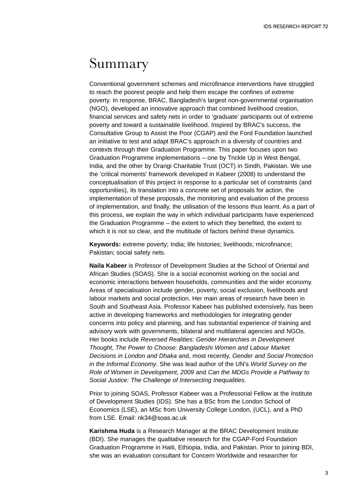### Summary

Conventional government schemes and microfinance interventions have struggled to reach the poorest people and help them escape the confines of extreme poverty. In response, BRAC, Bangladesh's largest non-governmental organisation (NGO), developed an innovative approach that combined livelihood creation, financial services and safety nets in order to 'graduate' participants out of extreme poverty and toward a sustainable livelihood. Inspired by BRAC's success, the Consultative Group to Assist the Poor (CGAP) and the Ford Foundation launched an initiative to test and adapt BRAC's approach in a diversity of countries and contexts through their Graduation Programme. This paper focuses upon two Graduation Programme implementations – one by Trickle Up in West Bengal, India, and the other by Orangi Charitable Trust (OCT) in Sindh, Pakistan. We use the 'critical moments' framework developed in Kabeer (2008) to understand the conceptualisation of this project in response to a particular set of constraints (and opportunities), its translation into a concrete set of proposals for action, the implementation of these proposals, the monitoring and evaluation of the process of implementation, and finally, the utilisation of the lessons thus learnt. As a part of this process, we explain the way in which individual participants have experienced the Graduation Programme – the extent to which they benefited, the extent to which it is not so clear, and the multitude of factors behind these dynamics.

**Keywords:** extreme poverty; India; life histories; livelihoods; microfinance; Pakistan; social safety nets.

**Naila Kabeer** is Professor of Development Studies at the School of Oriental and African Studies (SOAS). She is a social economist working on the social and economic interactions between households, communities and the wider economy. Areas of specialisation include gender, poverty, social exclusion, livelihoods and labour markets and social protection. Her main areas of research have been in South and Southeast Asia. Professor Kabeer has published extensively, has been active in developing frameworks and methodologies for integrating gender concerns into policy and planning, and has substantial experience of training and advisory work with governments, bilateral and multilateral agencies and NGOs. Her books include *Reversed Realities: Gender Hierarchies in Development Thought*, *The Power to Choose: Bangladeshi Women and Labour Market Decisions in London and Dhaka* and, most recently, *Gender and Social Protection in the Informal Economy*. She was lead author of the UN's *World Survey on the Role of Women in Development, 2009* and *Can the MDGs Provide a Pathway to Social Justice: The Challenge of Intersecting Inequalities*.

Prior to joining SOAS, Professor Kabeer was a Professorial Fellow at the Institute of Development Studies (IDS). She has a BSc from the London School of Economics (LSE), an MSc from University College London, (UCL), and a PhD from LSE. Email: nk34@soas.ac.uk

**Karishma Huda** is a Research Manager at the BRAC Development Institute (BDI). She manages the qualitative research for the CGAP-Ford Foundation Graduation Programme in Haiti, Ethiopia, India, and Pakistan. Prior to joining BDI, she was an evaluation consultant for Concern Worldwide and researcher for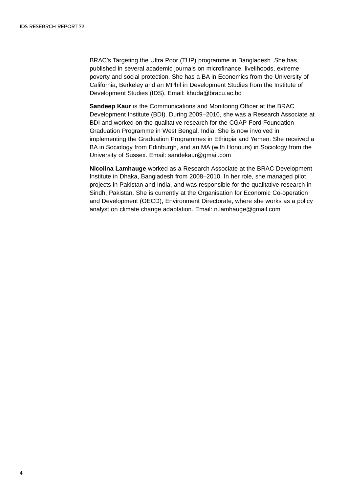BRAC's Targeting the Ultra Poor (TUP) programme in Bangladesh. She has published in several academic journals on microfinance, livelihoods, extreme poverty and social protection. She has a BA in Economics from the University of California, Berkeley and an MPhil in Development Studies from the Institute of Development Studies (IDS). Email: khuda@bracu.ac.bd

**Sandeep Kaur** is the Communications and Monitoring Officer at the BRAC Development Institute (BDI). During 2009–2010, she was a Research Associate at BDI and worked on the qualitative research for the CGAP-Ford Foundation Graduation Programme in West Bengal, India. She is now involved in implementing the Graduation Programmes in Ethiopia and Yemen. She received a BA in Sociology from Edinburgh, and an MA (with Honours) in Sociology from the University of Sussex. Email: sandekaur@gmail.com

**Nicolina Lamhauge** worked as a Research Associate at the BRAC Development Institute in Dhaka, Bangladesh from 2008–2010. In her role, she managed pilot projects in Pakistan and India, and was responsible for the qualitative research in Sindh, Pakistan. She is currently at the Organisation for Economic Co-operation and Development (OECD), Environment Directorate, where she works as a policy analyst on climate change adaptation. Email: n.lamhauge@gmail.com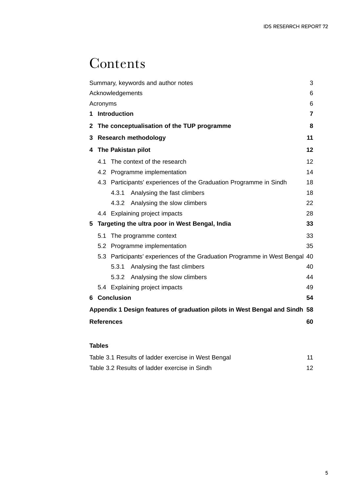# **Contents**

| Summary, keywords and author notes                                          |                                                                             |                                                                    | 3  |  |  |
|-----------------------------------------------------------------------------|-----------------------------------------------------------------------------|--------------------------------------------------------------------|----|--|--|
| Acknowledgements<br>6                                                       |                                                                             |                                                                    |    |  |  |
| Acronyms<br>6                                                               |                                                                             |                                                                    |    |  |  |
| 1.                                                                          | Introduction<br>7                                                           |                                                                    |    |  |  |
| $\mathbf{2}$                                                                | The conceptualisation of the TUP programme                                  |                                                                    |    |  |  |
| 3                                                                           | <b>Research methodology</b><br>11                                           |                                                                    |    |  |  |
| 4                                                                           |                                                                             | The Pakistan pilot                                                 | 12 |  |  |
|                                                                             | 4.1                                                                         | The context of the research                                        | 12 |  |  |
|                                                                             |                                                                             | 4.2 Programme implementation                                       | 14 |  |  |
|                                                                             |                                                                             | 4.3 Participants' experiences of the Graduation Programme in Sindh | 18 |  |  |
|                                                                             |                                                                             | Analysing the fast climbers<br>4.3.1                               | 18 |  |  |
|                                                                             |                                                                             | 4.3.2 Analysing the slow climbers                                  | 22 |  |  |
|                                                                             |                                                                             | 4.4 Explaining project impacts                                     | 28 |  |  |
| 5                                                                           |                                                                             | Targeting the ultra poor in West Bengal, India                     | 33 |  |  |
|                                                                             | 5.1                                                                         | The programme context                                              | 33 |  |  |
|                                                                             |                                                                             | 5.2 Programme implementation                                       | 35 |  |  |
|                                                                             | 5.3 Participants' experiences of the Graduation Programme in West Bengal 40 |                                                                    |    |  |  |
|                                                                             |                                                                             | Analysing the fast climbers<br>5.3.1                               | 40 |  |  |
|                                                                             |                                                                             | 5.3.2 Analysing the slow climbers                                  | 44 |  |  |
|                                                                             |                                                                             | 5.4 Explaining project impacts                                     | 49 |  |  |
|                                                                             |                                                                             | 6 Conclusion                                                       | 54 |  |  |
| Appendix 1 Design features of graduation pilots in West Bengal and Sindh 58 |                                                                             |                                                                    |    |  |  |
| <b>References</b><br>60                                                     |                                                                             |                                                                    |    |  |  |
|                                                                             |                                                                             |                                                                    |    |  |  |
| <b>Tables</b>                                                               |                                                                             |                                                                    |    |  |  |
|                                                                             | Table 2.4 Depute of Indebt oversign in West Dengal<br>44                    |                                                                    |    |  |  |

| Table 3.1 Results of ladder exercise in West Bengal |  |
|-----------------------------------------------------|--|
| Table 3.2 Results of ladder exercise in Sindh       |  |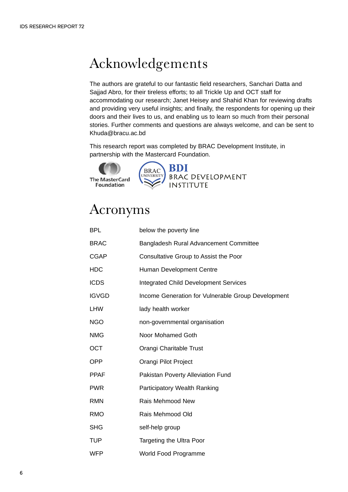# Acknowledgements

The authors are grateful to our fantastic field researchers, Sanchari Datta and Sajjad Abro, for their tireless efforts; to all Trickle Up and OCT staff for accommodating our research; Janet Heisey and Shahid Khan for reviewing drafts and providing very useful insights; and finally, the respondents for opening up their doors and their lives to us, and enabling us to learn so much from their personal stories. Further comments and questions are always welcome, and can be sent to Khuda@bracu.ac.bd

This research report was completed by BRAC Development Institute, in partnership with the Mastercard Foundation.

**The MasterCard Foundation** 



# Acronyms

| BPL          | below the poverty line                             |
|--------------|----------------------------------------------------|
| <b>BRAC</b>  | Bangladesh Rural Advancement Committee             |
| <b>CGAP</b>  | Consultative Group to Assist the Poor              |
| HDC          | Human Development Centre                           |
| <b>ICDS</b>  | <b>Integrated Child Development Services</b>       |
| <b>IGVGD</b> | Income Generation for Vulnerable Group Development |
| LHW          | lady health worker                                 |
| <b>NGO</b>   | non-governmental organisation                      |
| NMG          | Noor Mohamed Goth                                  |
| ОСТ          | Orangi Charitable Trust                            |
| <b>OPP</b>   | Orangi Pilot Project                               |
| <b>PPAF</b>  | Pakistan Poverty Alleviation Fund                  |
| <b>PWR</b>   | Participatory Wealth Ranking                       |
| RMN          | Rais Mehmood New                                   |
| <b>RMO</b>   | Rais Mehmood Old                                   |
| <b>SHG</b>   | self-help group                                    |
| TUP          | Targeting the Ultra Poor                           |

WFP World Food Programme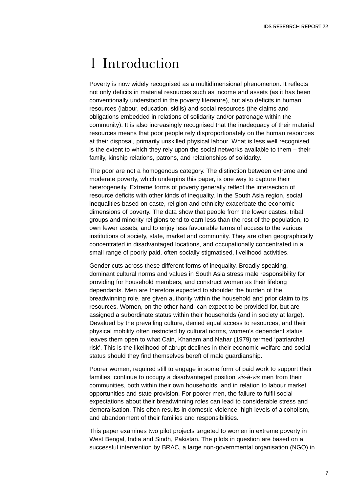### 1 Introduction

Poverty is now widely recognised as a multidimensional phenomenon. It reflects not only deficits in material resources such as income and assets (as it has been conventionally understood in the poverty literature), but also deficits in human resources (labour, education, skills) and social resources (the claims and obligations embedded in relations of solidarity and/or patronage within the community). It is also increasingly recognised that the inadequacy of their material resources means that poor people rely disproportionately on the human resources at their disposal, primarily unskilled physical labour. What is less well recognised is the extent to which they rely upon the social networks available to them – their family, kinship relations, patrons, and relationships of solidarity.

The poor are not a homogenous category. The distinction between extreme and moderate poverty, which underpins this paper, is one way to capture their heterogeneity. Extreme forms of poverty generally reflect the intersection of resource deficits with other kinds of inequality. In the South Asia region, social inequalities based on caste, religion and ethnicity exacerbate the economic dimensions of poverty. The data show that people from the lower castes, tribal groups and minority religions tend to earn less than the rest of the population, to own fewer assets, and to enjoy less favourable terms of access to the various institutions of society, state, market and community. They are often geographically concentrated in disadvantaged locations, and occupationally concentrated in a small range of poorly paid, often socially stigmatised, livelihood activities.

Gender cuts across these different forms of inequality. Broadly speaking, dominant cultural norms and values in South Asia stress male responsibility for providing for household members, and construct women as their lifelong dependants. Men are therefore expected to shoulder the burden of the breadwinning role, are given authority within the household and prior claim to its resources. Women, on the other hand, can expect to be provided for, but are assigned a subordinate status within their households (and in society at large). Devalued by the prevailing culture, denied equal access to resources, and their physical mobility often restricted by cultural norms, women's dependent status leaves them open to what Cain, Khanam and Nahar (1979) termed 'patriarchal risk'. This is the likelihood of abrupt declines in their economic welfare and social status should they find themselves bereft of male guardianship.

Poorer women, required still to engage in some form of paid work to support their families, continue to occupy a disadvantaged position *vis-à-vis* men from their communities, both within their own households, and in relation to labour market opportunities and state provision. For poorer men, the failure to fulfil social expectations about their breadwinning roles can lead to considerable stress and demoralisation. This often results in domestic violence, high levels of alcoholism, and abandonment of their families and responsibilities.

This paper examines two pilot projects targeted to women in extreme poverty in West Bengal, India and Sindh, Pakistan. The pilots in question are based on a successful intervention by BRAC, a large non-governmental organisation (NGO) in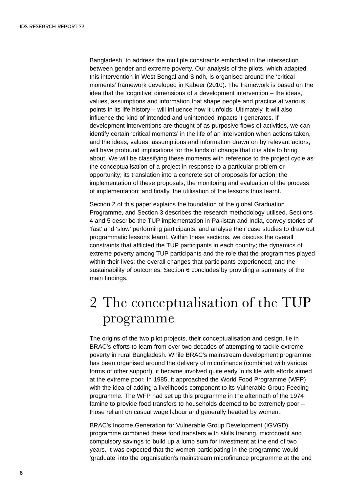Bangladesh, to address the multiple constraints embodied in the intersection between gender and extreme poverty. Our analysis of the pilots, which adapted this intervention in West Bengal and Sindh, is organised around the 'critical moments' framework developed in Kabeer (2010). The framework is based on the idea that the 'cognitive' dimensions of a development intervention – the ideas, values, assumptions and information that shape people and practice at various points in its life history – will influence how it unfolds. Ultimately, it will also influence the kind of intended and unintended impacts it generates. If development interventions are thought of as purposive flows of activities, we can identify certain 'critical moments' in the life of an intervention when actions taken, and the ideas, values, assumptions and information drawn on by relevant actors, will have profound implications for the kinds of change that it is able to bring about. We will be classifying these moments with reference to the project cycle as the conceptualisation of a project in response to a particular problem or opportunity; its translation into a concrete set of proposals for action; the implementation of these proposals; the monitoring and evaluation of the process of implementation; and finally, the utilisation of the lessons thus learnt.

Section 2 of this paper explains the foundation of the global Graduation Programme, and Section 3 describes the research methodology utilised. Sections 4 and 5 describe the TUP implementation in Pakistan and India, convey stories of 'fast' and 'slow' performing participants, and analyse their case studies to draw out programmatic lessons learnt. Within these sections, we discuss the overall constraints that afflicted the TUP participants in each country; the dynamics of extreme poverty among TUP participants and the role that the programmes played within their lives; the overall changes that participants experienced; and the sustainability of outcomes. Section 6 concludes by providing a summary of the main findings.

# 2 The conceptualisation of the TUP programme

The origins of the two pilot projects, their conceptualisation and design, lie in BRAC's efforts to learn from over two decades of attempting to tackle extreme poverty in rural Bangladesh. While BRAC's mainstream development programme has been organised around the delivery of microfinance (combined with various forms of other support), it became involved quite early in its life with efforts aimed at the extreme poor. In 1985, it approached the World Food Programme (WFP) with the idea of adding a livelihoods component to its Vulnerable Group Feeding programme. The WFP had set up this programme in the aftermath of the 1974 famine to provide food transfers to households deemed to be extremely poor – those reliant on casual wage labour and generally headed by women.

BRAC's Income Generation for Vulnerable Group Development (IGVGD) programme combined these food transfers with skills training, microcredit and compulsory savings to build up a lump sum for investment at the end of two years. It was expected that the women participating in the programme would 'graduate' into the organisation's mainstream microfinance programme at the end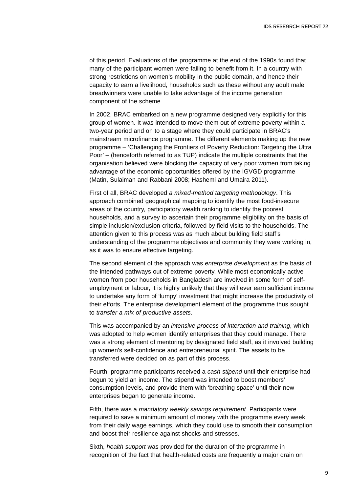of this period. Evaluations of the programme at the end of the 1990s found that many of the participant women were failing to benefit from it. In a country with strong restrictions on women's mobility in the public domain, and hence their capacity to earn a livelihood, households such as these without any adult male breadwinners were unable to take advantage of the income generation component of the scheme.

In 2002, BRAC embarked on a new programme designed very explicitly for this group of women. It was intended to move them out of extreme poverty within a two-year period and on to a stage where they could participate in BRAC's mainstream microfinance programme. The different elements making up the new programme – 'Challenging the Frontiers of Poverty Reduction: Targeting the Ultra Poor' – (henceforth referred to as TUP) indicate the multiple constraints that the organisation believed were blocking the capacity of very poor women from taking advantage of the economic opportunities offered by the IGVGD programme (Matin, Sulaiman and Rabbani 2008; Hashemi and Umaira 2011).

First of all, BRAC developed *a mixed-method targeting methodology*. This approach combined geographical mapping to identify the most food-insecure areas of the country, participatory wealth ranking to identify the poorest households, and a survey to ascertain their programme eligibility on the basis of simple inclusion/exclusion criteria, followed by field visits to the households. The attention given to this process was as much about building field staff's understanding of the programme objectives and community they were working in, as it was to ensure effective targeting.

The second element of the approach was *enterprise development* as the basis of the intended pathways out of extreme poverty. While most economically active women from poor households in Bangladesh are involved in some form of selfemployment or labour, it is highly unlikely that they will ever earn sufficient income to undertake any form of 'lumpy' investment that might increase the productivity of their efforts. The enterprise development element of the programme thus sought to *transfer a mix of productive assets*.

This was accompanied by an *intensive process of interaction and training*, which was adopted to help women identify enterprises that they could manage. There was a strong element of mentoring by designated field staff, as it involved building up women's self-confidence and entrepreneurial spirit. The assets to be transferred were decided on as part of this process.

Fourth, programme participants received a *cash stipend* until their enterprise had begun to yield an income. The stipend was intended to boost members' consumption levels, and provide them with 'breathing space' until their new enterprises began to generate income.

Fifth, there was a *mandatory weekly savings requirement*. Participants were required to save a minimum amount of money with the programme every week from their daily wage earnings, which they could use to smooth their consumption and boost their resilience against shocks and stresses.

Sixth, *health support* was provided for the duration of the programme in recognition of the fact that health-related costs are frequently a major drain on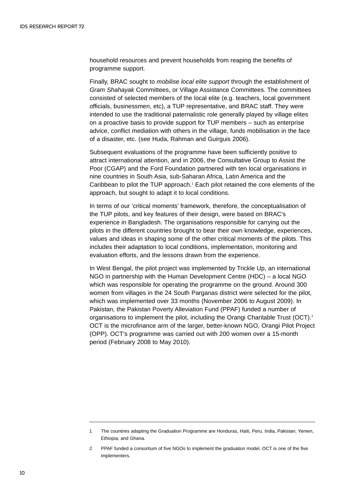household resources and prevent households from reaping the benefits of programme support.

Finally, BRAC sought to *mobilise local elite support* through the establishment of *Gram Shahayak* Committees, or Village Assistance Committees. The committees consisted of selected members of the local elite (e.g. teachers, local government officials, businessmen, etc), a TUP representative, and BRAC staff. They were intended to use the traditional paternalistic role generally played by village elites on a proactive basis to provide support for TUP members – such as enterprise advice, conflict mediation with others in the village, funds mobilisation in the face of a disaster, etc. (see Huda, Rahman and Guirguis 2006).

Subsequent evaluations of the programme have been sufficiently positive to attract international attention, and in 2006, the Consultative Group to Assist the Poor (CGAP) and the Ford Foundation partnered with ten local organisations in nine countries in South Asia, sub-Saharan Africa, Latin America and the Caribbean to pilot the TUP approach.<sup>1</sup> Each pilot retained the core elements of the approach, but sought to adapt it to local conditions.

In terms of our 'critical moments' framework, therefore, the conceptualisation of the TUP pilots, and key features of their design, were based on BRAC's experience in Bangladesh. The organisations responsible for carrying out the pilots in the different countries brought to bear their own knowledge, experiences, values and ideas in shaping some of the other critical moments of the pilots. This includes their adaptation to local conditions, implementation, monitoring and evaluation efforts, and the lessons drawn from the experience.

In West Bengal, the pilot project was implemented by Trickle Up, an international NGO in partnership with the Human Development Centre (HDC) – a local NGO which was responsible for operating the programme on the ground. Around 300 women from villages in the 24 South Parganas district were selected for the pilot, which was implemented over 33 months (November 2006 to August 2009). In Pakistan, the Pakistan Poverty Alleviation Fund (PPAF) funded a number of organisations to implement the pilot, including the Orangi Charitable Trust (OCT).<sup>2</sup> OCT is the microfinance arm of the larger, better-known NGO, Orangi Pilot Project (OPP). OCT's programme was carried out with 200 women over a 15-month period (February 2008 to May 2010).

<sup>1</sup> The countries adapting the Graduation Programme are Honduras, Haiti, Peru, India, Pakistan, Yemen, Ethiopia, and Ghana.

<sup>2</sup> PPAF funded a consortium of five NGOs to implement the graduation model. OCT is one of the five implementers.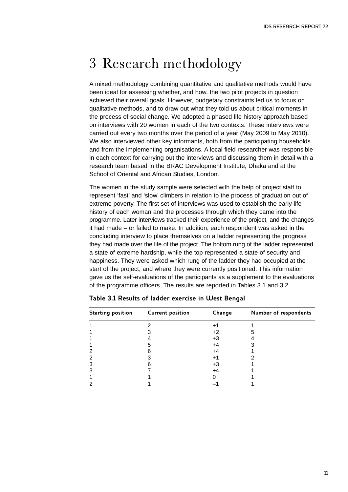# 3 Research methodology

A mixed methodology combining quantitative and qualitative methods would have been ideal for assessing whether, and how, the two pilot projects in question achieved their overall goals. However, budgetary constraints led us to focus on qualitative methods, and to draw out what they told us about critical moments in the process of social change. We adopted a phased life history approach based on interviews with 20 women in each of the two contexts. These interviews were carried out every two months over the period of a year (May 2009 to May 2010). We also interviewed other key informants, both from the participating households and from the implementing organisations. A local field researcher was responsible in each context for carrying out the interviews and discussing them in detail with a research team based in the BRAC Development Institute, Dhaka and at the School of Oriental and African Studies, London.

The women in the study sample were selected with the help of project staff to represent 'fast' and 'slow' climbers in relation to the process of graduation out of extreme poverty. The first set of interviews was used to establish the early life history of each woman and the processes through which they came into the programme. Later interviews tracked their experience of the project, and the changes it had made – or failed to make. In addition, each respondent was asked in the concluding interview to place themselves on a ladder representing the progress they had made over the life of the project. The bottom rung of the ladder represented a state of extreme hardship, while the top represented a state of security and happiness. They were asked which rung of the ladder they had occupied at the start of the project, and where they were currently positioned. This information gave us the self-evaluations of the participants as a supplement to the evaluations of the programme officers. The results are reported in Tables 3.1 and 3.2.

| <b>Starting position</b> | <b>Current position</b> | Change | Number of respondents |
|--------------------------|-------------------------|--------|-----------------------|
|                          |                         | +1     |                       |
|                          |                         | $+2$   |                       |
|                          |                         | +3     |                       |
|                          |                         | +4     |                       |
|                          |                         | +4     |                       |
|                          |                         | ÷      |                       |
|                          |                         | +3     |                       |
|                          |                         | +4     |                       |
|                          |                         |        |                       |
|                          |                         |        |                       |

#### **Table 3.1 Results of ladder exercise in West Bengal**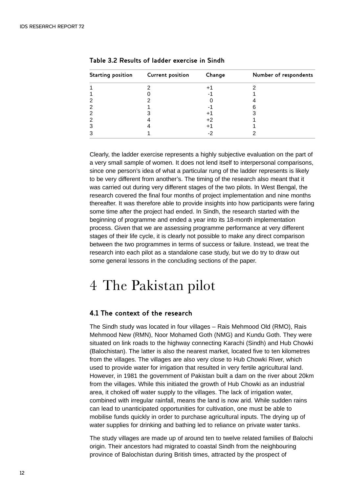| <b>Starting position</b> | <b>Current position</b> | Change | Number of respondents |
|--------------------------|-------------------------|--------|-----------------------|
|                          |                         |        |                       |
|                          |                         |        |                       |
|                          |                         |        |                       |
|                          |                         |        |                       |
|                          |                         | Ŧ.     |                       |
|                          |                         | +2     |                       |
| З                        |                         |        |                       |
|                          |                         |        |                       |

**Table 3.2 Results of ladder exercise in Sindh**

Clearly, the ladder exercise represents a highly subjective evaluation on the part of a very small sample of women. It does not lend itself to interpersonal comparisons, since one person's idea of what a particular rung of the ladder represents is likely to be very different from another's. The timing of the research also meant that it was carried out during very different stages of the two pilots. In West Bengal, the research covered the final four months of project implementation and nine months thereafter. It was therefore able to provide insights into how participants were faring some time after the project had ended. In Sindh, the research started with the beginning of programme and ended a year into its 18-month implementation process. Given that we are assessing programme performance at very different stages of their life cycle, it is clearly not possible to make any direct comparison between the two programmes in terms of success or failure. Instead, we treat the research into each pilot as a standalone case study, but we do try to draw out some general lessons in the concluding sections of the paper.

### 4 The Pakistan pilot

#### **4.1 The context of the research**

The Sindh study was located in four villages – Rais Mehmood Old (RMO), Rais Mehmood New (RMN), Noor Mohamed Goth (NMG) and Kundu Goth. They were situated on link roads to the highway connecting Karachi (Sindh) and Hub Chowki (Balochistan). The latter is also the nearest market, located five to ten kilometres from the villages. The villages are also very close to Hub Chowki River, which used to provide water for irrigation that resulted in very fertile agricultural land. However, in 1981 the government of Pakistan built a dam on the river about 20km from the villages. While this initiated the growth of Hub Chowki as an industrial area, it choked off water supply to the villages. The lack of irrigation water, combined with irregular rainfall, means the land is now arid. While sudden rains can lead to unanticipated opportunities for cultivation, one must be able to mobilise funds quickly in order to purchase agricultural inputs. The drying up of water supplies for drinking and bathing led to reliance on private water tanks.

The study villages are made up of around ten to twelve related families of Balochi origin. Their ancestors had migrated to coastal Sindh from the neighbouring province of Balochistan during British times, attracted by the prospect of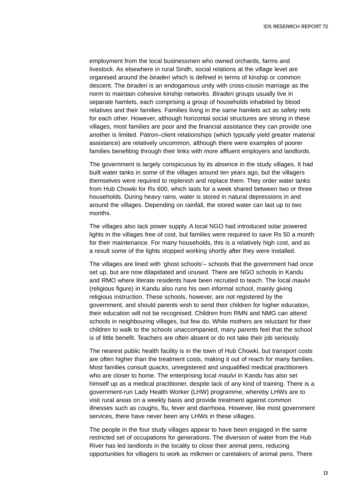employment from the local businessmen who owned orchards, farms and livestock. As elsewhere in rural Sindh, social relations at the village level are organised around the *biraderi* which is defined in terms of kinship or common descent. The *biraderi* is an endogamous unity with cross-cousin marriage as the norm to maintain cohesive kinship networks. *Biraderi* groups usually live in separate hamlets, each comprising a group of households inhabited by blood relatives and their families. Families living in the same hamlets act as safety nets for each other. However, although horizontal social structures are strong in these villages, most families are poor and the financial assistance they can provide one another is limited. Patron–client relationships (which typically yield greater material assistance) are relatively uncommon, although there were examples of poorer families benefiting through their links with more affluent employers and landlords.

The government is largely conspicuous by its absence in the study villages. It had built water tanks in some of the villages around ten years ago, but the villagers themselves were required to replenish and replace them. They order water tanks from Hub Chowki for Rs 600, which lasts for a week shared between two or three households. During heavy rains, water is stored in natural depressions in and around the villages. Depending on rainfall, the stored water can last up to two months.

The villages also lack power supply. A local NGO had introduced solar powered lights in the villages free of cost, but families were required to save Rs 50 a month for their maintenance. For many households, this is a relatively high cost, and as a result some of the lights stopped working shortly after they were installed.

The villages are lined with 'ghost schools'– schools that the government had once set up, but are now dilapidated and unused. There are NGO schools in Kandu and RMO where literate residents have been recruited to teach. The local *maulvi* (religious figure) in Kandu also runs his own informal school, mainly giving religious instruction. These schools, however, are not registered by the government, and should parents wish to send their children for higher education, their education will not be recognised. Children from RMN and NMG can attend schools in neighbouring villages, but few do. While mothers are reluctant for their children to walk to the schools unaccompanied, many parents feel that the school is of little benefit. Teachers are often absent or do not take their job seriously.

The nearest public health facility is in the town of Hub Chowki, but transport costs are often higher than the treatment costs, making it out of reach for many families. Most families consult *quacks*, unregistered and unqualified medical practitioners who are closer to home. The enterprising local *maulvi* in Kandu has also set himself up as a medical practitioner, despite lack of any kind of training. There is a government-run Lady Health Worker (LHW) programme, whereby LHWs are to visit rural areas on a weekly basis and provide treatment against common illnesses such as coughs, flu, fever and diarrhoea. However, like most government services, there have never been any LHWs in these villages.

The people in the four study villages appear to have been engaged in the same restricted set of occupations for generations. The diversion of water from the Hub River has led landlords in the locality to close their animal pens, reducing opportunities for villagers to work as milkmen or caretakers of animal pens. There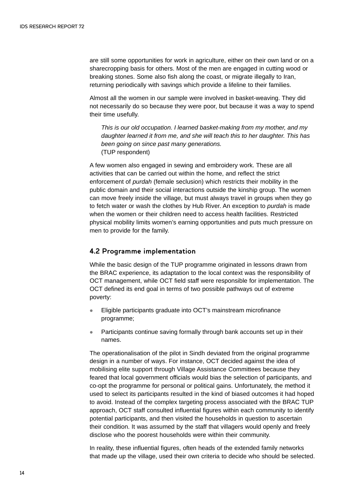are still some opportunities for work in agriculture, either on their own land or on a sharecropping basis for others. Most of the men are engaged in cutting wood or breaking stones. Some also fish along the coast, or migrate illegally to Iran, returning periodically with savings which provide a lifeline to their families.

Almost all the women in our sample were involved in basket-weaving. They did not necessarily do so because they were poor, but because it was a way to spend their time usefully.

*This is our old occupation. I learned basket-making from my mother, and my daughter learned it from me, and she will teach this to her daughter. This has been going on since past many generations.*  (TUP respondent)

A few women also engaged in sewing and embroidery work. These are all activities that can be carried out within the home, and reflect the strict enforcement of *purdah* (female seclusion) which restricts their mobility in the public domain and their social interactions outside the kinship group. The women can move freely inside the village, but must always travel in groups when they go to fetch water or wash the clothes by Hub River. An exception to *purdah* is made when the women or their children need to access health facilities. Restricted physical mobility limits women's earning opportunities and puts much pressure on men to provide for the family.

#### **4.2 Programme implementation**

While the basic design of the TUP programme originated in lessons drawn from the BRAC experience, its adaptation to the local context was the responsibility of OCT management, while OCT field staff were responsible for implementation. The OCT defined its end goal in terms of two possible pathways out of extreme poverty:

- Eligible participants graduate into OCT's mainstream microfinance programme;
- Participants continue saving formally through bank accounts set up in their names.

The operationalisation of the pilot in Sindh deviated from the original programme design in a number of ways. For instance, OCT decided against the idea of mobilising elite support through Village Assistance Committees because they feared that local government officials would bias the selection of participants, and co-opt the programme for personal or political gains. Unfortunately, the method it used to select its participants resulted in the kind of biased outcomes it had hoped to avoid. Instead of the complex targeting process associated with the BRAC TUP approach, OCT staff consulted influential figures within each community to identify potential participants, and then visited the households in question to ascertain their condition. It was assumed by the staff that villagers would openly and freely disclose who the poorest households were within their community.

In reality, these influential figures, often heads of the extended family networks that made up the village, used their own criteria to decide who should be selected.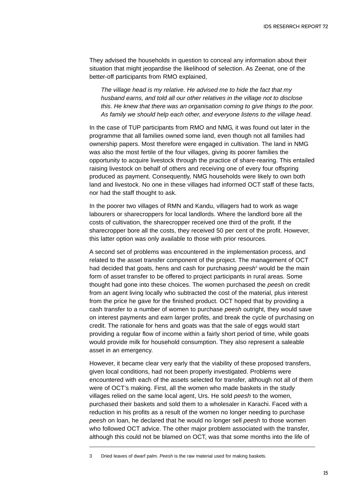They advised the households in question to conceal any information about their situation that might jeopardise the likelihood of selection. As Zeenat, one of the better-off participants from RMO explained,

*The village head is my relative. He advised me to hide the fact that my husband earns, and told all our other relatives in the village not to disclose this. He knew that there was an organisation coming to give things to the poor. As family we should help each other, and everyone listens to the village head.*

In the case of TUP participants from RMO and NMG, it was found out later in the programme that all families owned some land, even though not all families had ownership papers. Most therefore were engaged in cultivation. The land in NMG was also the most fertile of the four villages, giving its poorer families the opportunity to acquire livestock through the practice of share-rearing. This entailed raising livestock on behalf of others and receiving one of every four offspring produced as payment. Consequently, NMG households were likely to own both land and livestock. No one in these villages had informed OCT staff of these facts, nor had the staff thought to ask.

In the poorer two villages of RMN and Kandu, villagers had to work as wage labourers or sharecroppers for local landlords. Where the landlord bore all the costs of cultivation, the sharecropper received one third of the profit. If the sharecropper bore all the costs, they received 50 per cent of the profit. However, this latter option was only available to those with prior resources.

A second set of problems was encountered in the implementation process, and related to the asset transfer component of the project. The management of OCT had decided that goats, hens and cash for purchasing *peesh<sup>3</sup>* would be the main form of asset transfer to be offered to project participants in rural areas. Some thought had gone into these choices. The women purchased the *peesh* on credit from an agent living locally who subtracted the cost of the material, plus interest from the price he gave for the finished product. OCT hoped that by providing a cash transfer to a number of women to purchase *peesh* outright, they would save on interest payments and earn larger profits, and break the cycle of purchasing on credit. The rationale for hens and goats was that the sale of eggs would start providing a regular flow of income within a fairly short period of time, while goats would provide milk for household consumption. They also represent a saleable asset in an emergency.

However, it became clear very early that the viability of these proposed transfers, given local conditions, had not been properly investigated. Problems were encountered with each of the assets selected for transfer, although not all of them were of OCT's making. First, all the women who made baskets in the study villages relied on the same local agent, Urs. He sold *peesh* to the women, purchased their baskets and sold them to a wholesaler in Karachi. Faced with a reduction in his profits as a result of the women no longer needing to purchase *peesh* on loan, he declared that he would no longer sell *peesh* to those women who followed OCT advice. The other major problem associated with the transfer, although this could not be blamed on OCT, was that some months into the life of

3 Dried leaves of dwarf palm. *Peesh* is the raw material used for making baskets.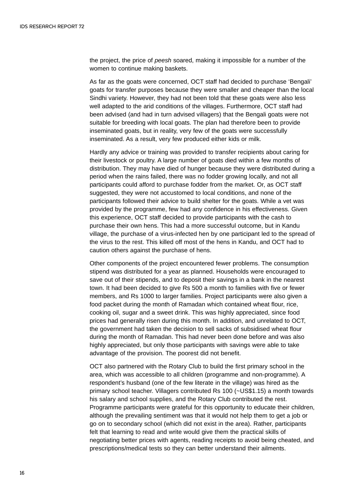the project, the price of *peesh* soared, making it impossible for a number of the women to continue making baskets.

As far as the goats were concerned, OCT staff had decided to purchase 'Bengali' goats for transfer purposes because they were smaller and cheaper than the local Sindhi variety. However, they had not been told that these goats were also less well adapted to the arid conditions of the villages. Furthermore, OCT staff had been advised (and had in turn advised villagers) that the Bengali goats were not suitable for breeding with local goats. The plan had therefore been to provide inseminated goats, but in reality, very few of the goats were successfully inseminated. As a result, very few produced either kids or milk.

Hardly any advice or training was provided to transfer recipients about caring for their livestock or poultry. A large number of goats died within a few months of distribution. They may have died of hunger because they were distributed during a period when the rains failed, there was no fodder growing locally, and not all participants could afford to purchase fodder from the market. Or, as OCT staff suggested, they were not accustomed to local conditions, and none of the participants followed their advice to build shelter for the goats. While a vet was provided by the programme, few had any confidence in his effectiveness. Given this experience, OCT staff decided to provide participants with the cash to purchase their own hens. This had a more successful outcome, but in Kandu village, the purchase of a virus-infected hen by one participant led to the spread of the virus to the rest. This killed off most of the hens in Kandu, and OCT had to caution others against the purchase of hens.

Other components of the project encountered fewer problems. The consumption stipend was distributed for a year as planned. Households were encouraged to save out of their stipends, and to deposit their savings in a bank in the nearest town. It had been decided to give Rs 500 a month to families with five or fewer members, and Rs 1000 to larger families. Project participants were also given a food packet during the month of Ramadan which contained wheat flour, rice, cooking oil, sugar and a sweet drink. This was highly appreciated, since food prices had generally risen during this month. In addition, and unrelated to OCT, the government had taken the decision to sell sacks of subsidised wheat flour during the month of Ramadan. This had never been done before and was also highly appreciated, but only those participants with savings were able to take advantage of the provision. The poorest did not benefit.

OCT also partnered with the Rotary Club to build the first primary school in the area, which was accessible to all children (programme and non-programme). A respondent's husband (one of the few literate in the village) was hired as the primary school teacher. Villagers contributed Rs 100 (~US\$1.15) a month towards his salary and school supplies, and the Rotary Club contributed the rest. Programme participants were grateful for this opportunity to educate their children, although the prevailing sentiment was that it would not help them to get a job or go on to secondary school (which did not exist in the area). Rather, participants felt that learning to read and write would give them the practical skills of negotiating better prices with agents, reading receipts to avoid being cheated, and prescriptions/medical tests so they can better understand their ailments.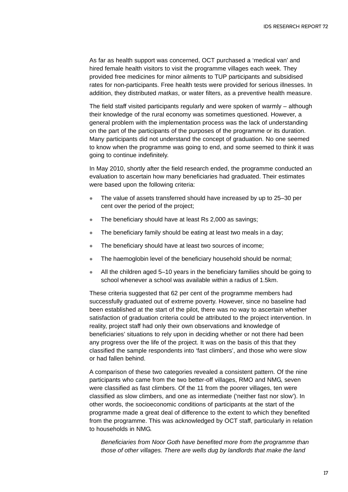As far as health support was concerned, OCT purchased a 'medical van' and hired female health visitors to visit the programme villages each week. They provided free medicines for minor ailments to TUP participants and subsidised rates for non-participants. Free health tests were provided for serious illnesses. In addition, they distributed *matkas*, or water filters, as a preventive health measure.

The field staff visited participants regularly and were spoken of warmly – although their knowledge of the rural economy was sometimes questioned. However, a general problem with the implementation process was the lack of understanding on the part of the participants of the purposes of the programme or its duration. Many participants did not understand the concept of graduation. No one seemed to know when the programme was going to end, and some seemed to think it was going to continue indefinitely.

In May 2010, shortly after the field research ended, the programme conducted an evaluation to ascertain how many beneficiaries had graduated. Their estimates were based upon the following criteria:

- The value of assets transferred should have increased by up to 25–30 per cent over the period of the project;
- $\bullet$  The beneficiary should have at least Rs 2,000 as savings;
- $\bullet$  The beneficiary family should be eating at least two meals in a day;
- $\bullet$  The beneficiary should have at least two sources of income;
- $\bullet$  The haemoglobin level of the beneficiary household should be normal;
- $\bullet$  All the children aged 5–10 years in the beneficiary families should be going to school whenever a school was available within a radius of 1.5km.

These criteria suggested that 62 per cent of the programme members had successfully graduated out of extreme poverty. However, since no baseline had been established at the start of the pilot, there was no way to ascertain whether satisfaction of graduation criteria could be attributed to the project intervention. In reality, project staff had only their own observations and knowledge of beneficiaries' situations to rely upon in deciding whether or not there had been any progress over the life of the project. It was on the basis of this that they classified the sample respondents into 'fast climbers', and those who were slow or had fallen behind.

A comparison of these two categories revealed a consistent pattern. Of the nine participants who came from the two better-off villages, RMO and NMG, seven were classified as fast climbers. Of the 11 from the poorer villages, ten were classified as slow climbers, and one as intermediate ('neither fast nor slow'). In other words, the socioeconomic conditions of participants at the start of the programme made a great deal of difference to the extent to which they benefited from the programme. This was acknowledged by OCT staff, particularly in relation to households in NMG.

*Beneficiaries from Noor Goth have benefited more from the programme than those of other villages. There are wells dug by landlords that make the land*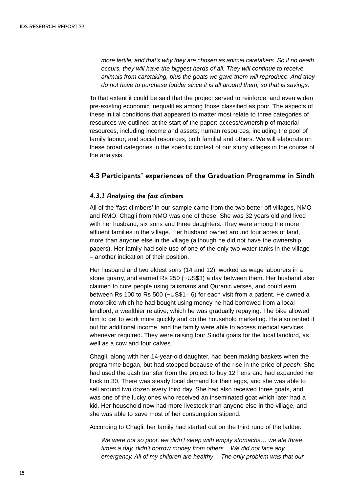*more fertile, and that's why they are chosen as animal caretakers. So if no death occurs, they will have the biggest herds of all. They will continue to receive animals from caretaking, plus the goats we gave them will reproduce. And they do not have to purchase fodder since it is all around them, so that is savings.*

To that extent it could be said that the project served to reinforce, and even widen pre-existing economic inequalities among those classified as poor. The aspects of these initial conditions that appeared to matter most relate to three categories of resources we outlined at the start of the paper: access/ownership of material resources, including income and assets; human resources, including the pool of family labour; and social resources, both familial and others. We will elaborate on these broad categories in the specific context of our study villages in the course of the analysis.

### **4.3 Participants' experiences of the Graduation Programme in Sindh**

### *4.3.1 Analysing the fast climbers*

All of the 'fast climbers' in our sample came from the two better-off villages, NMO and RMO. Chagli from NMO was one of these. She was 32 years old and lived with her husband, six sons and three daughters. They were among the more affluent families in the village. Her husband owned around four acres of land, more than anyone else in the village (although he did not have the ownership papers). Her family had sole use of one of the only two water tanks in the village – another indication of their position.

Her husband and two eldest sons (14 and 12), worked as wage labourers in a stone quarry, and earned Rs 250 (~US\$3) a day between them. Her husband also claimed to cure people using talismans and Quranic verses, and could earn between Rs 100 to Rs 500 (~US\$1– 6) for each visit from a patient. He owned a motorbike which he had bought using money he had borrowed from a local landlord, a wealthier relative, which he was gradually repaying. The bike allowed him to get to work more quickly and do the household marketing. He also rented it out for additional income, and the family were able to access medical services whenever required. They were raising four Sindhi goats for the local landlord, as well as a cow and four calves.

Chagli, along with her 14-year-old daughter, had been making baskets when the programme began, but had stopped because of the rise in the price of *peesh*. She had used the cash transfer from the project to buy 12 hens and had expanded her flock to 30. There was steady local demand for their eggs, and she was able to sell around two dozen every third day. She had also received three goats, and was one of the lucky ones who received an inseminated goat which later had a kid. Her household now had more livestock than anyone else in the village, and she was able to save most of her consumption stipend.

According to Chagli, her family had started out on the third rung of the ladder.

*We were not so poor, we didn't sleep with empty stomachs… we ate three times a day, didn't borrow money from others... We did not face any emergency. All of my children are healthy… The only problem was that our*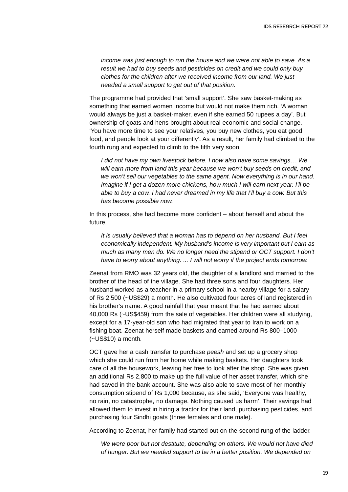*income was just enough to run the house and we were not able to save. As a result we had to buy seeds and pesticides on credit and we could only buy clothes for the children after we received income from our land. We just needed a small support to get out of that position.* 

The programme had provided that 'small support'. She saw basket-making as something that earned women income but would not make them rich. 'A woman would always be just a basket-maker, even if she earned 50 rupees a day'. But ownership of goats and hens brought about real economic and social change. 'You have more time to see your relatives, you buy new clothes, you eat good food, and people look at your differently'. As a result, her family had climbed to the fourth rung and expected to climb to the fifth very soon.

*I did not have my own livestock before. I now also have some savings… We will earn more from land this year because we won't buy seeds on credit, and we won't sell our vegetables to the same agent. Now everything is in our hand. Imagine if I get a dozen more chickens, how much I will earn next year. I'll be able to buy a cow. I had never dreamed in my life that I'll buy a cow. But this has become possible now.*

In this process, she had become more confident – about herself and about the future.

*It is usually believed that a woman has to depend on her husband. But I feel economically independent. My husband's income is very important but I earn as much as many men do. We no longer need the stipend or OCT support. I don't have to worry about anything. ... I will not worry if the project ends tomorrow.*

Zeenat from RMO was 32 years old, the daughter of a landlord and married to the brother of the head of the village. She had three sons and four daughters. Her husband worked as a teacher in a primary school in a nearby village for a salary of Rs 2,500 (~US\$29) a month. He also cultivated four acres of land registered in his brother's name. A good rainfall that year meant that he had earned about 40,000 Rs (~US\$459) from the sale of vegetables. Her children were all studying, except for a 17-year-old son who had migrated that year to Iran to work on a fishing boat. Zeenat herself made baskets and earned around Rs 800–1000 (~US\$10) a month.

OCT gave her a cash transfer to purchase *peesh* and set up a grocery shop which she could run from her home while making baskets. Her daughters took care of all the housework, leaving her free to look after the shop. She was given an additional Rs 2,800 to make up the full value of her asset transfer, which she had saved in the bank account. She was also able to save most of her monthly consumption stipend of Rs 1,000 because, as she said, 'Everyone was healthy, no rain, no catastrophe, no damage. Nothing caused us harm'. Their savings had allowed them to invest in hiring a tractor for their land, purchasing pesticides, and purchasing four Sindhi goats (three females and one male).

According to Zeenat, her family had started out on the second rung of the ladder.

*We were poor but not destitute, depending on others. We would not have died of hunger. But we needed support to be in a better position. We depended on*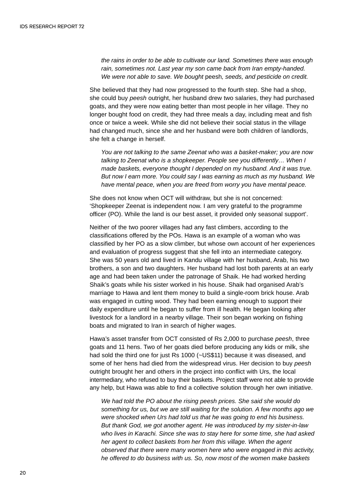*the rains in order to be able to cultivate our land. Sometimes there was enough rain, sometimes not. Last year my son came back from Iran empty-handed. We were not able to save. We bought* peesh*, seeds, and pesticide on credit.*

She believed that they had now progressed to the fourth step. She had a shop, she could buy *peesh* outright, her husband drew two salaries, they had purchased goats, and they were now eating better than most people in her village. They no longer bought food on credit, they had three meals a day, including meat and fish once or twice a week. While she did not believe their social status in the village had changed much, since she and her husband were both children of landlords, she felt a change in herself.

*You are not talking to the same Zeenat who was a basket-maker; you are now talking to Zeenat who is a shopkeeper. People see you differently… When I made baskets, everyone thought I depended on my husband. And it was true. But now I earn more. You could say I was earning as much as my husband. We have mental peace, when you are freed from worry you have mental peace.* 

She does not know when OCT will withdraw, but she is not concerned: 'Shopkeeper Zeenat is independent now. I am very grateful to the programme officer (PO). While the land is our best asset, it provided only seasonal support'.

Neither of the two poorer villages had any fast climbers, according to the classifications offered by the POs. Hawa is an example of a woman who was classified by her PO as a slow climber, but whose own account of her experiences and evaluation of progress suggest that she fell into an intermediate category. She was 50 years old and lived in Kandu village with her husband, Arab, his two brothers, a son and two daughters. Her husband had lost both parents at an early age and had been taken under the patronage of Shaik. He had worked herding Shaik's goats while his sister worked in his house. Shaik had organised Arab's marriage to Hawa and lent them money to build a single-room brick house. Arab was engaged in cutting wood. They had been earning enough to support their daily expenditure until he began to suffer from ill health. He began looking after livestock for a landlord in a nearby village. Their son began working on fishing boats and migrated to Iran in search of higher wages.

Hawa's asset transfer from OCT consisted of Rs 2,000 to purchase *peesh*, three goats and 11 hens. Two of her goats died before producing any kids or milk, she had sold the third one for just Rs 1000 (~US\$11) because it was diseased, and some of her hens had died from the widespread virus. Her decision to buy *peesh* outright brought her and others in the project into conflict with Urs, the local intermediary, who refused to buy their baskets. Project staff were not able to provide any help, but Hawa was able to find a collective solution through her own initiative.

*We had told the PO about the rising peesh prices. She said she would do something for us, but we are still waiting for the solution. A few months ago we were shocked when Urs had told us that he was going to end his business. But thank God, we got another agent. He was introduced by my sister-in-law who lives in Karachi. Since she was to stay here for some time, she had asked her agent to collect baskets from her from this village. When the agent observed that there were many women here who were engaged in this activity, he offered to do business with us. So, now most of the women make baskets*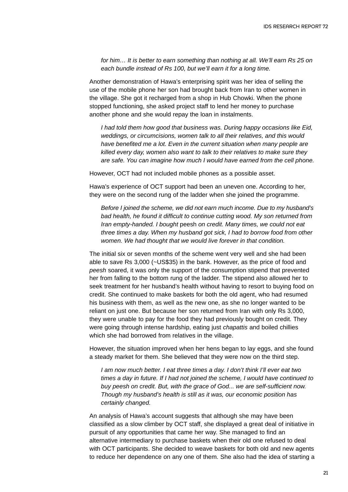*for him… It is better to earn something than nothing at all. We'll earn Rs 25 on each bundle instead of Rs 100, but we'll earn it for a long time.*

Another demonstration of Hawa's enterprising spirit was her idea of selling the use of the mobile phone her son had brought back from Iran to other women in the village. She got it recharged from a shop in Hub Chowki. When the phone stopped functioning, she asked project staff to lend her money to purchase another phone and she would repay the loan in instalments.

*I had told them how good that business was. During happy occasions like Eid, weddings, or circumcisions, women talk to all their relatives, and this would have benefited me a lot. Even in the current situation when many people are killed every day, women also want to talk to their relatives to make sure they are safe. You can imagine how much I would have earned from the cell phone.*

However, OCT had not included mobile phones as a possible asset.

Hawa's experience of OCT support had been an uneven one. According to her, they were on the second rung of the ladder when she joined the programme.

*Before I joined the scheme, we did not earn much income. Due to my husband's bad health, he found it difficult to continue cutting wood. My son returned from Iran empty-handed. I bought* peesh *on credit. Many times, we could not eat three times a day. When my husband got sick, I had to borrow food from other women. We had thought that we would live forever in that condition.*

The initial six or seven months of the scheme went very well and she had been able to save Rs 3,000 (~US\$35) in the bank. However, as the price of food and *peesh* soared, it was only the support of the consumption stipend that prevented her from falling to the bottom rung of the ladder. The stipend also allowed her to seek treatment for her husband's health without having to resort to buying food on credit. She continued to make baskets for both the old agent, who had resumed his business with them, as well as the new one, as she no longer wanted to be reliant on just one. But because her son returned from Iran with only Rs 3,000, they were unable to pay for the food they had previously bought on credit. They were going through intense hardship, eating just *chapattis* and boiled chillies which she had borrowed from relatives in the village.

However, the situation improved when her hens began to lay eggs, and she found a steady market for them. She believed that they were now on the third step.

*I am now much better. I eat three times a day. I don't think I'll ever eat two times a day in future. If I had not joined the scheme, I would have continued to buy peesh on credit. But, with the grace of God... we are self-sufficient now. Though my husband's health is still as it was, our economic position has certainly changed.*

An analysis of Hawa's account suggests that although she may have been classified as a slow climber by OCT staff, she displayed a great deal of initiative in pursuit of any opportunities that came her way. She managed to find an alternative intermediary to purchase baskets when their old one refused to deal with OCT participants. She decided to weave baskets for both old and new agents to reduce her dependence on any one of them. She also had the idea of starting a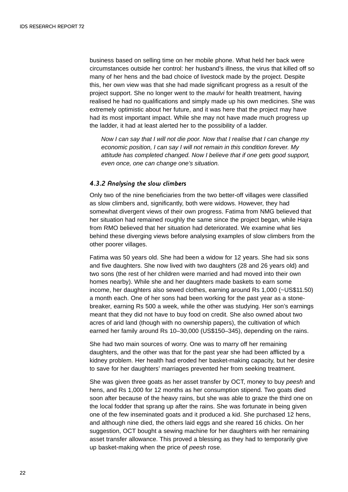business based on selling time on her mobile phone. What held her back were circumstances outside her control: her husband's illness, the virus that killed off so many of her hens and the bad choice of livestock made by the project. Despite this, her own view was that she had made significant progress as a result of the project support. She no longer went to the *maulvi* for health treatment, having realised he had no qualifications and simply made up his own medicines. She was extremely optimistic about her future, and it was here that the project may have had its most important impact. While she may not have made much progress up the ladder, it had at least alerted her to the possibility of a ladder.

*Now I can say that I will not die poor. Now that I realise that I can change my economic position, I can say I will not remain in this condition forever. My attitude has completed changed. Now I believe that if one gets good support, even once, one can change one's situation.* 

#### *4.3.2 Analysing the slow climbers*

Only two of the nine beneficiaries from the two better-off villages were classified as slow climbers and, significantly, both were widows. However, they had somewhat divergent views of their own progress. Fatima from NMG believed that her situation had remained roughly the same since the project began, while Hajra from RMO believed that her situation had deteriorated. We examine what lies behind these diverging views before analysing examples of slow climbers from the other poorer villages.

Fatima was 50 years old. She had been a widow for 12 years. She had six sons and five daughters. She now lived with two daughters (28 and 26 years old) and two sons (the rest of her children were married and had moved into their own homes nearby). While she and her daughters made baskets to earn some income, her daughters also sewed clothes, earning around Rs 1,000 (~US\$11.50) a month each. One of her sons had been working for the past year as a stonebreaker, earning Rs 500 a week, while the other was studying. Her son's earnings meant that they did not have to buy food on credit. She also owned about two acres of arid land (though with no ownership papers), the cultivation of which earned her family around Rs 10–30,000 (US\$150–345), depending on the rains.

She had two main sources of worry. One was to marry off her remaining daughters, and the other was that for the past year she had been afflicted by a kidney problem. Her health had eroded her basket-making capacity, but her desire to save for her daughters' marriages prevented her from seeking treatment.

She was given three goats as her asset transfer by OCT, money to buy *peesh* and hens, and Rs 1,000 for 12 months as her consumption stipend. Two goats died soon after because of the heavy rains, but she was able to graze the third one on the local fodder that sprang up after the rains. She was fortunate in being given one of the few inseminated goats and it produced a kid. She purchased 12 hens, and although nine died, the others laid eggs and she reared 16 chicks. On her suggestion, OCT bought a sewing machine for her daughters with her remaining asset transfer allowance. This proved a blessing as they had to temporarily give up basket-making when the price of *peesh* rose.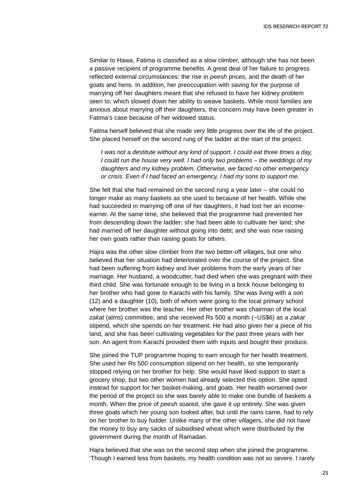Similar to Hawa, Fatima is classified as a slow climber, although she has not been a passive recipient of programme benefits. A great deal of her failure to progress reflected external circumstances: the rise in *peesh* prices, and the death of her goats and hens. In addition, her preoccupation with saving for the purpose of marrying off her daughters meant that she refused to have her kidney problem seen to, which slowed down her ability to weave baskets. While most families are anxious about marrying off their daughters, the concern may have been greater in Fatima's case because of her widowed status.

Fatima herself believed that she made very little progress over the life of the project. She placed herself on the second rung of the ladder at the start of the project.

*I was not a destitute without any kind of support. I could eat three times a day, I could run the house very well. I had only two problems – the weddings of my daughters and my kidney problem. Otherwise, we faced no other emergency or crisis. Even if I had faced an emergency, I had my sons to support me.*

She felt that she had remained on the second rung a year later – she could no longer make as many baskets as she used to because of her health. While she had succeeded in marrying off one of her daughters, it had lost her an incomeearner. At the same time, she believed that the programme had prevented her from descending down the ladder: she had been able to cultivate her land; she had married off her daughter without going into debt; and she was now raising her own goats rather than raising goats for others.

Hajra was the other slow climber from the two better-off villages, but one who believed that her situation had deteriorated over the course of the project. She had been suffering from kidney and liver problems from the early years of her marriage. Her husband, a woodcutter, had died when she was pregnant with their third child. She was fortunate enough to be living in a brick house belonging to her brother who had gone to Karachi with his family. She was living with a son (12) and a daughter (10), both of whom were going to the local primary school where her brother was the teacher. Her other brother was chairman of the local *zakat* (alms) committee, and she received Rs 500 a month (~US\$6) as a *zakat* stipend, which she spends on her treatment. He had also given her a piece of his land, and she has been cultivating vegetables for the past three years with her son. An agent from Karachi provided them with inputs and bought their produce.

She joined the TUP programme hoping to earn enough for her health treatment. She used her Rs 500 consumption stipend on her health, so she temporarily stopped relying on her brother for help. She would have liked support to start a grocery shop, but two other women had already selected this option. She opted instead for support for her basket-making, and goats. Her health worsened over the period of the project so she was barely able to make one bundle of baskets a month. When the price of *peesh* soared, she gave it up entirely. She was given three goats which her young son looked after, but until the rains came, had to rely on her brother to buy fodder. Unlike many of the other villagers, she did not have the money to buy any sacks of subsidised wheat which were distributed by the government during the month of Ramadan.

Hajra believed that she was on the second step when she joined the programme. 'Though I earned less from baskets, my health condition was not so severe. I rarely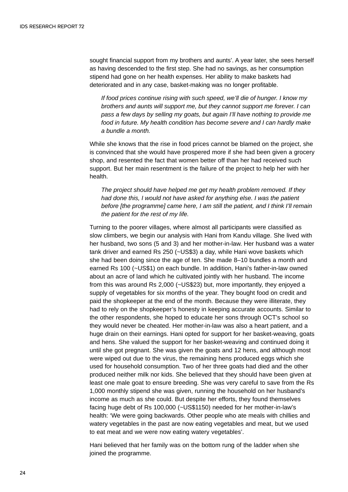sought financial support from my brothers and aunts'. A year later, she sees herself as having descended to the first step. She had no savings, as her consumption stipend had gone on her health expenses. Her ability to make baskets had deteriorated and in any case, basket-making was no longer profitable.

*If food prices continue rising with such speed, we'll die of hunger. I know my brothers and aunts will support me, but they cannot support me forever. I can pass a few days by selling my goats, but again I'll have nothing to provide me food in future. My health condition has become severe and I can hardly make a bundle a month.*

While she knows that the rise in food prices cannot be blamed on the project, she is convinced that she would have prospered more if she had been given a grocery shop, and resented the fact that women better off than her had received such support. But her main resentment is the failure of the project to help her with her health.

*The project should have helped me get my health problem removed. If they had done this, I would not have asked for anything else. I was the patient before [the programme] came here, I am still the patient, and I think I'll remain the patient for the rest of my life.*

Turning to the poorer villages, where almost all participants were classified as slow climbers, we begin our analysis with Hani from Kandu village. She lived with her husband, two sons (5 and 3) and her mother-in-law. Her husband was a water tank driver and earned Rs 250 (~US\$3) a day, while Hani wove baskets which she had been doing since the age of ten. She made 8–10 bundles a month and earned Rs 100 (~US\$1) on each bundle. In addition, Hani's father-in-law owned about an acre of land which he cultivated jointly with her husband. The income from this was around Rs 2,000 (~US\$23) but, more importantly, they enjoyed a supply of vegetables for six months of the year. They bought food on credit and paid the shopkeeper at the end of the month. Because they were illiterate, they had to rely on the shopkeeper's honesty in keeping accurate accounts. Similar to the other respondents, she hoped to educate her sons through OCT's school so they would never be cheated. Her mother-in-law was also a heart patient, and a huge drain on their earnings. Hani opted for support for her basket-weaving, goats and hens. She valued the support for her basket-weaving and continued doing it until she got pregnant. She was given the goats and 12 hens, and although most were wiped out due to the virus, the remaining hens produced eggs which she used for household consumption. Two of her three goats had died and the other produced neither milk nor kids. She believed that they should have been given at least one male goat to ensure breeding. She was very careful to save from the Rs 1,000 monthly stipend she was given, running the household on her husband's income as much as she could. But despite her efforts, they found themselves facing huge debt of Rs 100,000 (~US\$1150) needed for her mother-in-law's health: 'We were going backwards. Other people who ate meals with chillies and watery vegetables in the past are now eating vegetables and meat, but we used to eat meat and we were now eating watery vegetables'.

Hani believed that her family was on the bottom rung of the ladder when she joined the programme.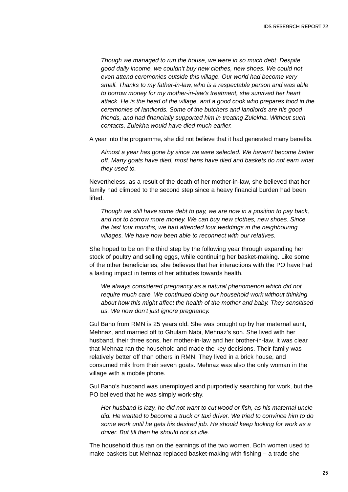*Though we managed to run the house, we were in so much debt. Despite good daily income, we couldn't buy new clothes, new shoes. We could not even attend ceremonies outside this village. Our world had become very small. Thanks to my father-in-law, who is a respectable person and was able to borrow money for my mother-in-law's treatment, she survived her heart attack. He is the head of the village, and a good cook who prepares food in the ceremonies of landlords. Some of the butchers and landlords are his good friends, and had financially supported him in treating Zulekha. Without such contacts, Zulekha would have died much earlier.*

A year into the programme, she did not believe that it had generated many benefits.

*Almost a year has gone by since we were selected. We haven't become better off. Many goats have died, most hens have died and baskets do not earn what they used to.*

Nevertheless, as a result of the death of her mother-in-law, she believed that her family had climbed to the second step since a heavy financial burden had been lifted.

*Though we still have some debt to pay, we are now in a position to pay back, and not to borrow more money. We can buy new clothes, new shoes. Since the last four months, we had attended four weddings in the neighbouring villages. We have now been able to reconnect with our relatives.*

She hoped to be on the third step by the following year through expanding her stock of poultry and selling eggs, while continuing her basket-making. Like some of the other beneficiaries, she believes that her interactions with the PO have had a lasting impact in terms of her attitudes towards health.

*We always considered pregnancy as a natural phenomenon which did not require much care. We continued doing our household work without thinking about how this might affect the health of the mother and baby. They sensitised us. We now don't just ignore pregnancy.* 

Gul Bano from RMN is 25 years old. She was brought up by her maternal aunt, Mehnaz, and married off to Ghulam Nabi, Mehnaz's son. She lived with her husband, their three sons, her mother-in-law and her brother-in-law. It was clear that Mehnaz ran the household and made the key decisions. Their family was relatively better off than others in RMN. They lived in a brick house, and consumed milk from their seven goats. Mehnaz was also the only woman in the village with a mobile phone.

Gul Bano's husband was unemployed and purportedly searching for work, but the PO believed that he was simply work-shy.

*Her husband is lazy, he did not want to cut wood or fish, as his maternal uncle did. He wanted to become a truck or taxi driver. We tried to convince him to do some work until he gets his desired job. He should keep looking for work as a driver. But till then he should not sit idle.* 

The household thus ran on the earnings of the two women. Both women used to make baskets but Mehnaz replaced basket-making with fishing – a trade she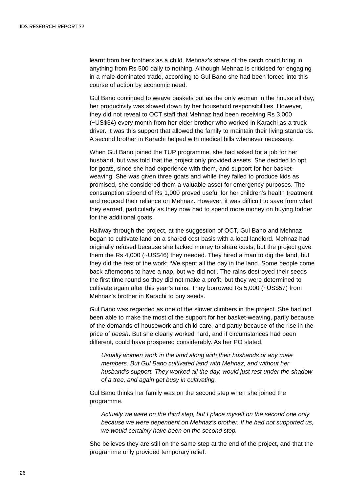learnt from her brothers as a child. Mehnaz's share of the catch could bring in anything from Rs 500 daily to nothing. Although Mehnaz is criticised for engaging in a male-dominated trade, according to Gul Bano she had been forced into this course of action by economic need.

Gul Bano continued to weave baskets but as the only woman in the house all day, her productivity was slowed down by her household responsibilities. However, they did not reveal to OCT staff that Mehnaz had been receiving Rs 3,000 (~US\$34) every month from her elder brother who worked in Karachi as a truck driver. It was this support that allowed the family to maintain their living standards. A second brother in Karachi helped with medical bills whenever necessary.

When Gul Bano joined the TUP programme, she had asked for a job for her husband, but was told that the project only provided assets. She decided to opt for goats, since she had experience with them, and support for her basketweaving. She was given three goats and while they failed to produce kids as promised, she considered them a valuable asset for emergency purposes. The consumption stipend of Rs 1,000 proved useful for her children's health treatment and reduced their reliance on Mehnaz. However, it was difficult to save from what they earned, particularly as they now had to spend more money on buying fodder for the additional goats.

Halfway through the project, at the suggestion of OCT, Gul Bano and Mehnaz began to cultivate land on a shared cost basis with a local landlord. Mehnaz had originally refused because she lacked money to share costs, but the project gave them the Rs 4,000 (~US\$46) they needed. They hired a man to dig the land, but they did the rest of the work: 'We spent all the day in the land. Some people come back afternoons to have a nap, but we did not'. The rains destroyed their seeds the first time round so they did not make a profit, but they were determined to cultivate again after this year's rains. They borrowed Rs 5,000 (~US\$57) from Mehnaz's brother in Karachi to buy seeds.

Gul Bano was regarded as one of the slower climbers in the project. She had not been able to make the most of the support for her basket-weaving, partly because of the demands of housework and child care, and partly because of the rise in the price of *peesh*. But she clearly worked hard, and if circumstances had been different, could have prospered considerably. As her PO stated,

*Usually women work in the land along with their husbands or any male members. But Gul Bano cultivated land with Mehnaz, and without her husband's support. They worked all the day, would just rest under the shadow of a tree, and again get busy in cultivating.*

Gul Bano thinks her family was on the second step when she joined the programme.

*Actually we were on the third step, but I place myself on the second one only because we were dependent on Mehnaz's brother. If he had not supported us, we would certainly have been on the second step.*

She believes they are still on the same step at the end of the project, and that the programme only provided temporary relief.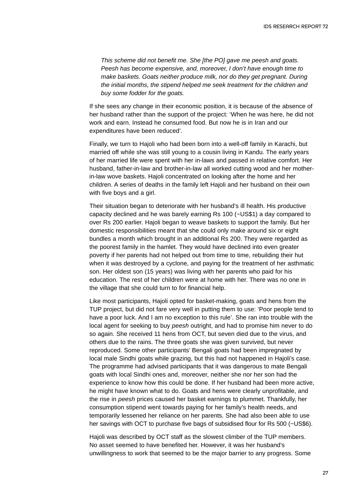*This scheme did not benefit me. She [the PO] gave me peesh and goats. Peesh has become expensive, and, moreover, I don't have enough time to make baskets. Goats neither produce milk, nor do they get pregnant. During the initial months, the stipend helped me seek treatment for the children and buy some fodder for the goats.*

If she sees any change in their economic position, it is because of the absence of her husband rather than the support of the project: 'When he was here, he did not work and earn. Instead he consumed food. But now he is in Iran and our expenditures have been reduced'.

Finally, we turn to Hajoli who had been born into a well-off family in Karachi, but married off while she was still young to a cousin living in Kandu. The early years of her married life were spent with her in-laws and passed in relative comfort. Her husband, father-in-law and brother-in-law all worked cutting wood and her motherin-law wove baskets. Hajoli concentrated on looking after the home and her children. A series of deaths in the family left Hajoli and her husband on their own with five boys and a girl.

Their situation began to deteriorate with her husband's ill health. His productive capacity declined and he was barely earning Rs 100 (~US\$1) a day compared to over Rs 200 earlier. Hajoli began to weave baskets to support the family. But her domestic responsibilities meant that she could only make around six or eight bundles a month which brought in an additional Rs 200. They were regarded as the poorest family in the hamlet. They would have declined into even greater poverty if her parents had not helped out from time to time, rebuilding their hut when it was destroyed by a cyclone, and paying for the treatment of her asthmatic son. Her oldest son (15 years) was living with her parents who paid for his education. The rest of her children were at home with her. There was no one in the village that she could turn to for financial help.

Like most participants, Hajoli opted for basket-making, goats and hens from the TUP project, but did not fare very well in putting them to use: 'Poor people tend to have a poor luck. And I am no exception to this rule'. She ran into trouble with the local agent for seeking to buy *peesh* outright, and had to promise him never to do so again. She received 11 hens from OCT, but seven died due to the virus, and others due to the rains. The three goats she was given survived, but never reproduced. Some other participants' Bengali goats had been impregnated by local male Sindhi goats while grazing, but this had not happened in Hajoli's case. The programme had advised participants that it was dangerous to mate Bengali goats with local Sindhi ones and, moreover, neither she nor her son had the experience to know how this could be done. If her husband had been more active, he might have known what to do. Goats and hens were clearly unprofitable, and the rise in *peesh* prices caused her basket earnings to plummet. Thankfully, her consumption stipend went towards paying for her family's health needs, and temporarily lessened her reliance on her parents. She had also been able to use her savings with OCT to purchase five bags of subsidised flour for Rs 500 (~US\$6).

Hajoli was described by OCT staff as the slowest climber of the TUP members. No asset seemed to have benefited her. However, it was her husband's unwillingness to work that seemed to be the major barrier to any progress. Some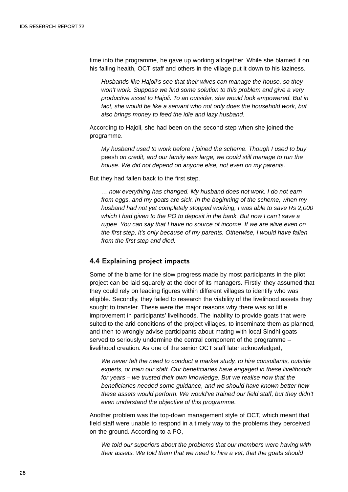time into the programme, he gave up working altogether. While she blamed it on his failing health, OCT staff and others in the village put it down to his laziness.

*Husbands like Hajoli's see that their wives can manage the house, so they won't work. Suppose we find some solution to this problem and give a very productive asset to Hajoli. To an outsider, she would look empowered. But in fact, she would be like a servant who not only does the household work, but also brings money to feed the idle and lazy husband.*

According to Hajoli, she had been on the second step when she joined the programme.

*My husband used to work before I joined the scheme. Though I used to buy* peesh *on credit, and our family was large, we could still manage to run the house. We did not depend on anyone else, not even on my parents.*

But they had fallen back to the first step.

*… now everything has changed. My husband does not work. I do not earn from eggs, and my goats are sick. In the beginning of the scheme, when my husband had not yet completely stopped working, I was able to save Rs 2,000 which I had given to the PO to deposit in the bank. But now I can't save a rupee. You can say that I have no source of income. If we are alive even on the first step, it's only because of my parents. Otherwise, I would have fallen from the first step and died.*

#### **4.4 Explaining project impacts**

Some of the blame for the slow progress made by most participants in the pilot project can be laid squarely at the door of its managers. Firstly, they assumed that they could rely on leading figures within different villages to identify who was eligible. Secondly, they failed to research the viability of the livelihood assets they sought to transfer. These were the major reasons why there was so little improvement in participants' livelihoods. The inability to provide goats that were suited to the arid conditions of the project villages, to inseminate them as planned, and then to wrongly advise participants about mating with local Sindhi goats served to seriously undermine the central component of the programme – livelihood creation. As one of the senior OCT staff later acknowledged,

*We never felt the need to conduct a market study, to hire consultants, outside experts, or train our staff. Our beneficiaries have engaged in these livelihoods for years – we trusted their own knowledge. But we realise now that the beneficiaries needed some guidance, and we should have known better how these assets would perform. We would've trained our field staff, but they didn't even understand the objective of this programme.*

Another problem was the top-down management style of OCT, which meant that field staff were unable to respond in a timely way to the problems they perceived on the ground. According to a PO,

*We told our superiors about the problems that our members were having with their assets. We told them that we need to hire a vet, that the goats should*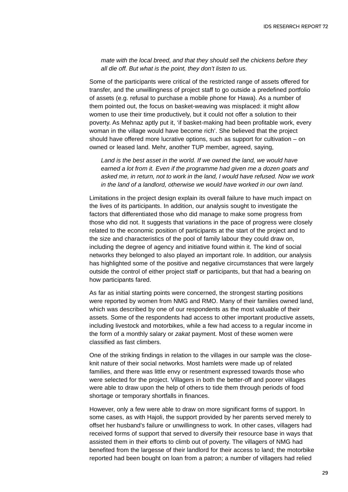*mate with the local breed, and that they should sell the chickens before they all die off. But what is the point, they don't listen to us.*

Some of the participants were critical of the restricted range of assets offered for transfer, and the unwillingness of project staff to go outside a predefined portfolio of assets (e.g. refusal to purchase a mobile phone for Hawa). As a number of them pointed out, the focus on basket-weaving was misplaced: it might allow women to use their time productively, but it could not offer a solution to their poverty. As Mehnaz aptly put it, 'if basket-making had been profitable work, every woman in the village would have become rich'. She believed that the project should have offered more lucrative options, such as support for cultivation – on owned or leased land. Mehr, another TUP member, agreed, saying,

*Land is the best asset in the world. If we owned the land, we would have earned a lot from it. Even if the programme had given me a dozen goats and asked me, in return, not to work in the land, I would have refused. Now we work in the land of a landlord, otherwise we would have worked in our own land.*

Limitations in the project design explain its overall failure to have much impact on the lives of its participants. In addition, our analysis sought to investigate the factors that differentiated those who did manage to make some progress from those who did not. It suggests that variations in the pace of progress were closely related to the economic position of participants at the start of the project and to the size and characteristics of the pool of family labour they could draw on, including the degree of agency and initiative found within it. The kind of social networks they belonged to also played an important role. In addition, our analysis has highlighted some of the positive and negative circumstances that were largely outside the control of either project staff or participants, but that had a bearing on how participants fared.

As far as initial starting points were concerned, the strongest starting positions were reported by women from NMG and RMO. Many of their families owned land, which was described by one of our respondents as the most valuable of their assets. Some of the respondents had access to other important productive assets, including livestock and motorbikes, while a few had access to a regular income in the form of a monthly salary or *zakat* payment. Most of these women were classified as fast climbers.

One of the striking findings in relation to the villages in our sample was the closeknit nature of their social networks. Most hamlets were made up of related families, and there was little envy or resentment expressed towards those who were selected for the project. Villagers in both the better-off and poorer villages were able to draw upon the help of others to tide them through periods of food shortage or temporary shortfalls in finances.

However, only a few were able to draw on more significant forms of support. In some cases, as with Hajoli, the support provided by her parents served merely to offset her husband's failure or unwillingness to work. In other cases, villagers had received forms of support that served to diversify their resource base in ways that assisted them in their efforts to climb out of poverty. The villagers of NMG had benefited from the largesse of their landlord for their access to land; the motorbike reported had been bought on loan from a patron; a number of villagers had relied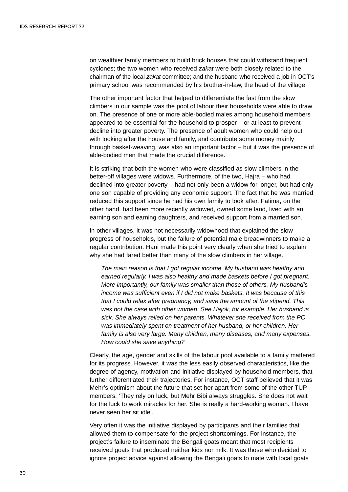on wealthier family members to build brick houses that could withstand frequent cyclones; the two women who received *zakat* were both closely related to the chairman of the local *zakat* committee; and the husband who received a job in OCT's primary school was recommended by his brother-in-law, the head of the village.

The other important factor that helped to differentiate the fast from the slow climbers in our sample was the pool of labour their households were able to draw on. The presence of one or more able-bodied males among household members appeared to be essential for the household to prosper – or at least to prevent decline into greater poverty. The presence of adult women who could help out with looking after the house and family, and contribute some money mainly through basket-weaving, was also an important factor – but it was the presence of able-bodied men that made the crucial difference.

It is striking that both the women who were classified as slow climbers in the better-off villages were widows. Furthermore, of the two, Hajra – who had declined into greater poverty – had not only been a widow for longer, but had only one son capable of providing any economic support. The fact that he was married reduced this support since he had his own family to look after. Fatima, on the other hand, had been more recently widowed, owned some land, lived with an earning son and earning daughters, and received support from a married son.

In other villages, it was not necessarily widowhood that explained the slow progress of households, but the failure of potential male breadwinners to make a regular contribution. Hani made this point very clearly when she tried to explain why she had fared better than many of the slow climbers in her village.

*The main reason is that I got regular income. My husband was healthy and earned regularly. I was also healthy and made baskets before I got pregnant. More importantly, our family was smaller than those of others. My husband's income was sufficient even if I did not make baskets. It was because of this that I could relax after pregnancy, and save the amount of the stipend. This was not the case with other women. See Hajoli, for example. Her husband is sick. She always relied on her parents. Whatever she received from the PO was immediately spent on treatment of her husband, or her children. Her family is also very large. Many children, many diseases, and many expenses. How could she save anything?*

Clearly, the age, gender and skills of the labour pool available to a family mattered for its progress. However, it was the less easily observed characteristics, like the degree of agency, motivation and initiative displayed by household members, that further differentiated their trajectories. For instance, OCT staff believed that it was Mehr's optimism about the future that set her apart from some of the other TUP members: 'They rely on luck, but Mehr Bibi always struggles. She does not wait for the luck to work miracles for her. She is really a hard-working woman. I have never seen her sit idle'.

Very often it was the initiative displayed by participants and their families that allowed them to compensate for the project shortcomings. For instance, the project's failure to inseminate the Bengali goats meant that most recipients received goats that produced neither kids nor milk. It was those who decided to ignore project advice against allowing the Bengali goats to mate with local goats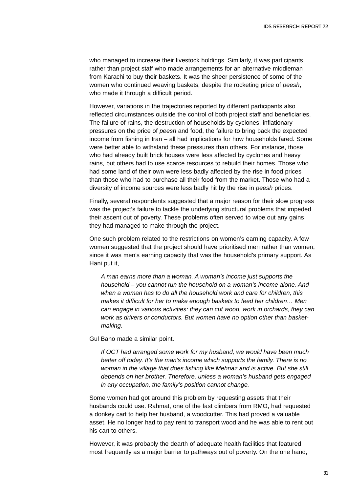who managed to increase their livestock holdings. Similarly, it was participants rather than project staff who made arrangements for an alternative middleman from Karachi to buy their baskets. It was the sheer persistence of some of the women who continued weaving baskets, despite the rocketing price of *peesh*, who made it through a difficult period.

However, variations in the trajectories reported by different participants also reflected circumstances outside the control of both project staff and beneficiaries. The failure of rains, the destruction of households by cyclones, inflationary pressures on the price of *peesh* and food, the failure to bring back the expected income from fishing in Iran – all had implications for how households fared. Some were better able to withstand these pressures than others. For instance, those who had already built brick houses were less affected by cyclones and heavy rains, but others had to use scarce resources to rebuild their homes. Those who had some land of their own were less badly affected by the rise in food prices than those who had to purchase all their food from the market. Those who had a diversity of income sources were less badly hit by the rise in *peesh* prices.

Finally, several respondents suggested that a major reason for their slow progress was the project's failure to tackle the underlying structural problems that impeded their ascent out of poverty. These problems often served to wipe out any gains they had managed to make through the project.

One such problem related to the restrictions on women's earning capacity. A few women suggested that the project should have prioritised men rather than women, since it was men's earning capacity that was the household's primary support. As Hani put it,

*A man earns more than a woman. A woman's income just supports the household – you cannot run the household on a woman's income alone. And when a woman has to do all the household work and care for children, this makes it difficult for her to make enough baskets to feed her children… Men can engage in various activities: they can cut wood, work in orchards, they can work as drivers or conductors. But women have no option other than basketmaking.* 

Gul Bano made a similar point.

*If OCT had arranged some work for my husband, we would have been much better off today. It's the man's income which supports the family. There is no woman in the village that does fishing like Mehnaz and is active. But she still depends on her brother. Therefore, unless a woman's husband gets engaged in any occupation, the family's position cannot change.* 

Some women had got around this problem by requesting assets that their husbands could use. Rahmat, one of the fast climbers from RMO, had requested a donkey cart to help her husband, a woodcutter. This had proved a valuable asset. He no longer had to pay rent to transport wood and he was able to rent out his cart to others.

However, it was probably the dearth of adequate health facilities that featured most frequently as a major barrier to pathways out of poverty. On the one hand,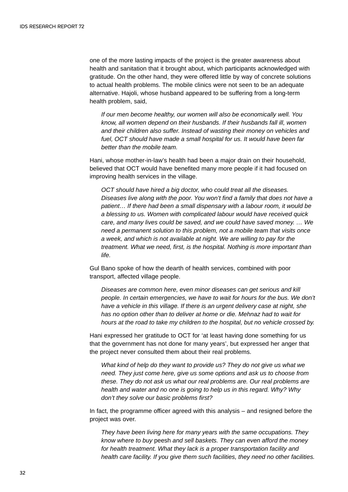one of the more lasting impacts of the project is the greater awareness about health and sanitation that it brought about, which participants acknowledged with gratitude. On the other hand, they were offered little by way of concrete solutions to actual health problems. The mobile clinics were not seen to be an adequate alternative. Hajoli, whose husband appeared to be suffering from a long-term health problem, said,

*If our men become healthy, our women will also be economically well. You know, all women depend on their husbands. If their husbands fall ill, women and their children also suffer. Instead of wasting their money on vehicles and fuel, OCT should have made a small hospital for us. It would have been far better than the mobile team.*

Hani, whose mother-in-law's health had been a major drain on their household, believed that OCT would have benefited many more people if it had focused on improving health services in the village.

*OCT should have hired a big doctor, who could treat all the diseases. Diseases live along with the poor. You won't find a family that does not have a patient… If there had been a small dispensary with a labour room, it would be a blessing to us. Women with complicated labour would have received quick care, and many lives could be saved, and we could have saved money. … We need a permanent solution to this problem, not a mobile team that visits once a week, and which is not available at night. We are willing to pay for the treatment. What we need, first, is the hospital. Nothing is more important than life.* 

Gul Bano spoke of how the dearth of health services, combined with poor transport, affected village people.

*Diseases are common here, even minor diseases can get serious and kill people. In certain emergencies, we have to wait for hours for the bus. We don't have a vehicle in this village. If there is an urgent delivery case at night, she has no option other than to deliver at home or die. Mehnaz had to wait for hours at the road to take my children to the hospital, but no vehicle crossed by.*

Hani expressed her gratitude to OCT for 'at least having done something for us that the government has not done for many years', but expressed her anger that the project never consulted them about their real problems.

*What kind of help do they want to provide us? They do not give us what we need. They just come here, give us some options and ask us to choose from these. They do not ask us what our real problems are. Our real problems are health and water and no one is going to help us in this regard. Why? Why don't they solve our basic problems first?* 

In fact, the programme officer agreed with this analysis – and resigned before the project was over.

*They have been living here for many years with the same occupations. They know where to buy* peesh *and sell baskets. They can even afford the money for health treatment. What they lack is a proper transportation facility and health care facility. If you give them such facilities, they need no other facilities.*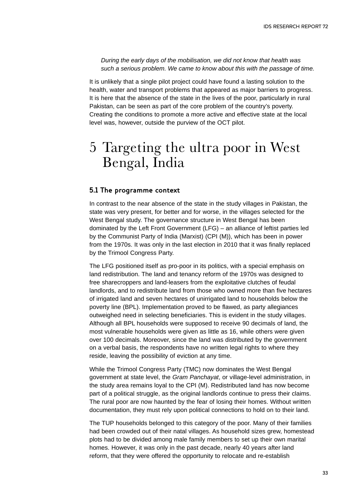*During the early days of the mobilisation, we did not know that health was such a serious problem. We came to know about this with the passage of time.*

It is unlikely that a single pilot project could have found a lasting solution to the health, water and transport problems that appeared as major barriers to progress. It is here that the absence of the state in the lives of the poor, particularly in rural Pakistan, can be seen as part of the core problem of the country's poverty. Creating the conditions to promote a more active and effective state at the local level was, however, outside the purview of the OCT pilot.

### 5 Targeting the ultra poor in West Bengal, India

### **5.1 The programme context**

In contrast to the near absence of the state in the study villages in Pakistan, the state was very present, for better and for worse, in the villages selected for the West Bengal study. The governance structure in West Bengal has been dominated by the Left Front Government (LFG) – an alliance of leftist parties led by the Communist Party of India (Marxist) (CPI (M)), which has been in power from the 1970s. It was only in the last election in 2010 that it was finally replaced by the Trimool Congress Party.

The LFG positioned itself as pro-poor in its politics, with a special emphasis on land redistribution. The land and tenancy reform of the 1970s was designed to free sharecroppers and land-leasers from the exploitative clutches of feudal landlords, and to redistribute land from those who owned more than five hectares of irrigated land and seven hectares of unirrigated land to households below the poverty line (BPL). Implementation proved to be flawed, as party allegiances outweighed need in selecting beneficiaries. This is evident in the study villages. Although all BPL households were supposed to receive 90 decimals of land, the most vulnerable households were given as little as 16, while others were given over 100 decimals. Moreover, since the land was distributed by the government on a verbal basis, the respondents have no written legal rights to where they reside, leaving the possibility of eviction at any time.

While the Trimool Congress Party (TMC) now dominates the West Bengal government at state level, the *Gram Panchayat*, or village-level administration, in the study area remains loyal to the CPI (M). Redistributed land has now become part of a political struggle, as the original landlords continue to press their claims. The rural poor are now haunted by the fear of losing their homes. Without written documentation, they must rely upon political connections to hold on to their land.

The TUP households belonged to this category of the poor. Many of their families had been crowded out of their natal villages. As household sizes grew, homestead plots had to be divided among male family members to set up their own marital homes. However, it was only in the past decade, nearly 40 years after land reform, that they were offered the opportunity to relocate and re-establish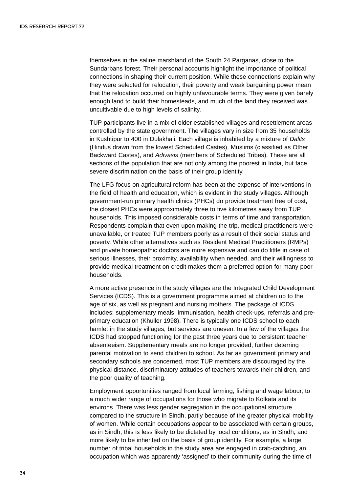themselves in the saline marshland of the South 24 Parganas, close to the Sundarbans forest. Their personal accounts highlight the importance of political connections in shaping their current position. While these connections explain why they were selected for relocation, their poverty and weak bargaining power mean that the relocation occurred on highly unfavourable terms. They were given barely enough land to build their homesteads, and much of the land they received was uncultivable due to high levels of salinity.

TUP participants live in a mix of older established villages and resettlement areas controlled by the state government. The villages vary in size from 35 households in Kushtipur to 400 in Dulakhali. Each village is inhabited by a mixture of *Dalits* (Hindus drawn from the lowest Scheduled Castes), Muslims (classified as Other Backward Castes), and *Adivasis* (members of Scheduled Tribes). These are all sections of the population that are not only among the poorest in India, but face severe discrimination on the basis of their group identity.

The LFG focus on agricultural reform has been at the expense of interventions in the field of health and education, which is evident in the study villages. Although government-run primary health clinics (PHCs) do provide treatment free of cost, the closest PHCs were approximately three to five kilometres away from TUP households. This imposed considerable costs in terms of time and transportation. Respondents complain that even upon making the trip, medical practitioners were unavailable, or treated TUP members poorly as a result of their social status and poverty. While other alternatives such as Resident Medical Practitioners (RMPs) and private homeopathic doctors are more expensive and can do little in case of serious illnesses, their proximity, availability when needed, and their willingness to provide medical treatment on credit makes them a preferred option for many poor households.

A more active presence in the study villages are the Integrated Child Development Services (ICDS). This is a government programme aimed at children up to the age of six, as well as pregnant and nursing mothers. The package of ICDS includes: supplementary meals, immunisation, health check-ups, referrals and preprimary education (Khuller 1998). There is typically one ICDS school to each hamlet in the study villages, but services are uneven. In a few of the villages the ICDS had stopped functioning for the past three years due to persistent teacher absenteeism. Supplementary meals are no longer provided, further deterring parental motivation to send children to school. As far as government primary and secondary schools are concerned, most TUP members are discouraged by the physical distance, discriminatory attitudes of teachers towards their children, and the poor quality of teaching.

Employment opportunities ranged from local farming, fishing and wage labour, to a much wider range of occupations for those who migrate to Kolkata and its environs. There was less gender segregation in the occupational structure compared to the structure in Sindh, partly because of the greater physical mobility of women. While certain occupations appear to be associated with certain groups, as in Sindh, this is less likely to be dictated by local conditions, as in Sindh, and more likely to be inherited on the basis of group identity. For example, a large number of tribal households in the study area are engaged in crab-catching, an occupation which was apparently 'assigned' to their community during the time of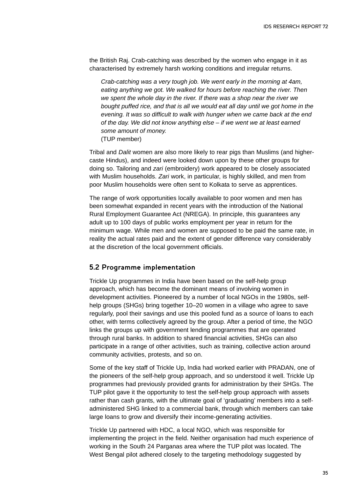the British Raj. Crab-catching was described by the women who engage in it as characterised by extremely harsh working conditions and irregular returns.

*Crab-catching was a very tough job. We went early in the morning at 4am, eating anything we got. We walked for hours before reaching the river. Then we spent the whole day in the river. If there was a shop near the river we bought puffed rice, and that is all we would eat all day until we got home in the evening. It was so difficult to walk with hunger when we came back at the end of the day. We did not know anything else – if we went we at least earned some amount of money.* 

(TUP member)

Tribal and *Dalit* women are also more likely to rear pigs than Muslims (and highercaste Hindus), and indeed were looked down upon by these other groups for doing so. Tailoring and *zari* (embroidery) work appeared to be closely associated with Muslim households. *Zari* work, in particular, is highly skilled, and men from poor Muslim households were often sent to Kolkata to serve as apprentices.

The range of work opportunities locally available to poor women and men has been somewhat expanded in recent years with the introduction of the National Rural Employment Guarantee Act (NREGA). In principle, this guarantees any adult up to 100 days of public works employment per year in return for the minimum wage. While men and women are supposed to be paid the same rate, in reality the actual rates paid and the extent of gender difference vary considerably at the discretion of the local government officials.

#### **5.2 Programme implementation**

Trickle Up programmes in India have been based on the self-help group approach, which has become the dominant means of involving women in development activities. Pioneered by a number of local NGOs in the 1980s, selfhelp groups (SHGs) bring together 10–20 women in a village who agree to save regularly, pool their savings and use this pooled fund as a source of loans to each other, with terms collectively agreed by the group. After a period of time, the NGO links the groups up with government lending programmes that are operated through rural banks. In addition to shared financial activities, SHGs can also participate in a range of other activities, such as training, collective action around community activities, protests, and so on.

Some of the key staff of Trickle Up, India had worked earlier with PRADAN, one of the pioneers of the self-help group approach, and so understood it well. Trickle Up programmes had previously provided grants for administration by their SHGs. The TUP pilot gave it the opportunity to test the self-help group approach with assets rather than cash grants, with the ultimate goal of 'graduating' members into a selfadministered SHG linked to a commercial bank, through which members can take large loans to grow and diversify their income-generating activities.

Trickle Up partnered with HDC, a local NGO, which was responsible for implementing the project in the field. Neither organisation had much experience of working in the South 24 Parganas area where the TUP pilot was located. The West Bengal pilot adhered closely to the targeting methodology suggested by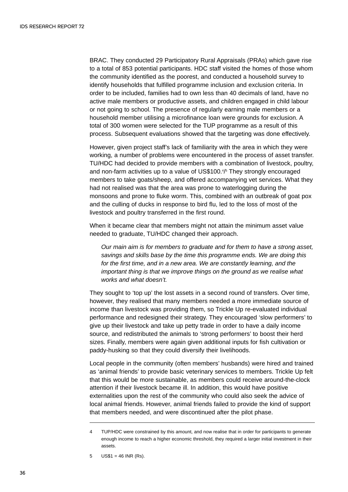BRAC. They conducted 29 Participatory Rural Appraisals (PRAs) which gave rise to a total of 853 potential participants. HDC staff visited the homes of those whom the community identified as the poorest, and conducted a household survey to identify households that fulfilled programme inclusion and exclusion criteria. In order to be included, families had to own less than 40 decimals of land, have no active male members or productive assets, and children engaged in child labour or not going to school. The presence of regularly earning male members or a household member utilising a microfinance loan were grounds for exclusion. A total of 300 women were selected for the TUP programme as a result of this process. Subsequent evaluations showed that the targeting was done effectively.

However, given project staff's lack of familiarity with the area in which they were working, a number of problems were encountered in the process of asset transfer. TU/HDC had decided to provide members with a combination of livestock, poultry, and non-farm activities up to a value of US\$100.4 / <sup>5</sup> They strongly encouraged members to take goats/sheep, and offered accompanying vet services. What they had not realised was that the area was prone to waterlogging during the monsoons and prone to fluke worm. This, combined with an outbreak of goat pox and the culling of ducks in response to bird flu, led to the loss of most of the livestock and poultry transferred in the first round.

When it became clear that members might not attain the minimum asset value needed to graduate, TU/HDC changed their approach.

*Our main aim is for members to graduate and for them to have a strong asset, savings and skills base by the time this programme ends. We are doing this for the first time, and in a new area. We are constantly learning, and the important thing is that we improve things on the ground as we realise what works and what doesn't.*

They sought to 'top up' the lost assets in a second round of transfers. Over time, however, they realised that many members needed a more immediate source of income than livestock was providing them, so Trickle Up re-evaluated individual performance and redesigned their strategy. They encouraged 'slow performers' to give up their livestock and take up petty trade in order to have a daily income source, and redistributed the animals to 'strong performers' to boost their herd sizes. Finally, members were again given additional inputs for fish cultivation or paddy-husking so that they could diversify their livelihoods.

Local people in the community (often members' husbands) were hired and trained as 'animal friends' to provide basic veterinary services to members. Trickle Up felt that this would be more sustainable, as members could receive around-the-clock attention if their livestock became ill. In addition, this would have positive externalities upon the rest of the community who could also seek the advice of local animal friends. However, animal friends failed to provide the kind of support that members needed, and were discontinued after the pilot phase.

<sup>4</sup> TUP/HDC were constrained by this amount, and now realise that in order for participants to generate enough income to reach a higher economic threshold, they required a larger initial investment in their assets.

<sup>5</sup>  $US$1 = 46$  INR (Rs).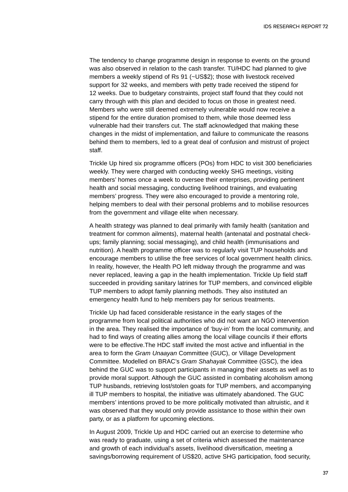The tendency to change programme design in response to events on the ground was also observed in relation to the cash transfer. TU/HDC had planned to give members a weekly stipend of Rs 91 (~US\$2); those with livestock received support for 32 weeks, and members with petty trade received the stipend for 12 weeks. Due to budgetary constraints, project staff found that they could not carry through with this plan and decided to focus on those in greatest need. Members who were still deemed extremely vulnerable would now receive a stipend for the entire duration promised to them, while those deemed less vulnerable had their transfers cut. The staff acknowledged that making these changes in the midst of implementation, and failure to communicate the reasons behind them to members, led to a great deal of confusion and mistrust of project staff.

Trickle Up hired six programme officers (POs) from HDC to visit 300 beneficiaries weekly. They were charged with conducting weekly SHG meetings, visiting members' homes once a week to oversee their enterprises, providing pertinent health and social messaging, conducting livelihood trainings, and evaluating members' progress. They were also encouraged to provide a mentoring role, helping members to deal with their personal problems and to mobilise resources from the government and village elite when necessary.

A health strategy was planned to deal primarily with family health (sanitation and treatment for common ailments), maternal health (antenatal and postnatal checkups; family planning; social messaging), and child health (immunisations and nutrition). A health programme officer was to regularly visit TUP households and encourage members to utilise the free services of local government health clinics. In reality, however, the Health PO left midway through the programme and was never replaced, leaving a gap in the health implementation. Trickle Up field staff succeeded in providing sanitary latrines for TUP members, and convinced eligible TUP members to adopt family planning methods. They also instituted an emergency health fund to help members pay for serious treatments.

Trickle Up had faced considerable resistance in the early stages of the programme from local political authorities who did not want an NGO intervention in the area. They realised the importance of 'buy-in' from the local community, and had to find ways of creating allies among the local village councils if their efforts were to be effective.The HDC staff invited the most active and influential in the area to form the *Gram Unaayan* Committee (GUC), or Village Development Committee. Modelled on BRAC's *Gram Shahayak* Committee (GSC), the idea behind the GUC was to support participants in managing their assets as well as to provide moral support. Although the GUC assisted in combating alcoholism among TUP husbands, retrieving lost/stolen goats for TUP members, and accompanying ill TUP members to hospital, the initiative was ultimately abandoned. The GUC members' intentions proved to be more politically motivated than altruistic, and it was observed that they would only provide assistance to those within their own party, or as a platform for upcoming elections.

In August 2009, Trickle Up and HDC carried out an exercise to determine who was ready to graduate, using a set of criteria which assessed the maintenance and growth of each individual's assets, livelihood diversification, meeting a savings/borrowing requirement of US\$20, active SHG participation, food security,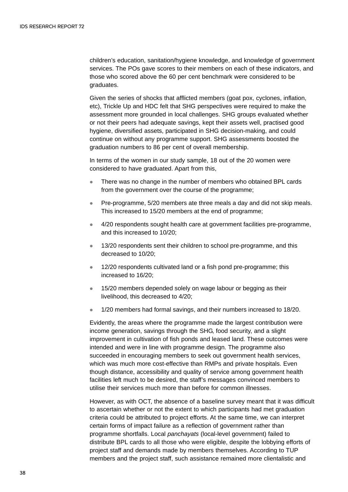children's education, sanitation/hygiene knowledge, and knowledge of government services. The POs gave scores to their members on each of these indicators, and those who scored above the 60 per cent benchmark were considered to be graduates.

Given the series of shocks that afflicted members (goat pox, cyclones, inflation, etc), Trickle Up and HDC felt that SHG perspectives were required to make the assessment more grounded in local challenges. SHG groups evaluated whether or not their peers had adequate savings, kept their assets well, practised good hygiene, diversified assets, participated in SHG decision-making, and could continue on without any programme support. SHG assessments boosted the graduation numbers to 86 per cent of overall membership.

In terms of the women in our study sample, 18 out of the 20 women were considered to have graduated. Apart from this,

- There was no change in the number of members who obtained BPL cards from the government over the course of the programme;
- $\bullet$  Pre-programme, 5/20 members ate three meals a day and did not skip meals. This increased to 15/20 members at the end of programme;
- 4/20 respondents sought health care at government facilities pre-programme, and this increased to 10/20;
- $\bullet$  13/20 respondents sent their children to school pre-programme, and this decreased to 10/20;
- $\bullet$  12/20 respondents cultivated land or a fish pond pre-programme; this increased to 16/20;
- 15/20 members depended solely on wage labour or begging as their livelihood, this decreased to 4/20;
- 1/20 members had formal savings, and their numbers increased to 18/20.

Evidently, the areas where the programme made the largest contribution were income generation, savings through the SHG, food security, and a slight improvement in cultivation of fish ponds and leased land. These outcomes were intended and were in line with programme design. The programme also succeeded in encouraging members to seek out government health services, which was much more cost-effective than RMPs and private hospitals. Even though distance, accessibility and quality of service among government health facilities left much to be desired, the staff's messages convinced members to utilise their services much more than before for common illnesses.

However, as with OCT, the absence of a baseline survey meant that it was difficult to ascertain whether or not the extent to which participants had met graduation criteria could be attributed to project efforts. At the same time, we can interpret certain forms of impact failure as a reflection of government rather than programme shortfalls. Local *panchayats* (local-level government) failed to distribute BPL cards to all those who were eligible, despite the lobbying efforts of project staff and demands made by members themselves. According to TUP members and the project staff, such assistance remained more clientalistic and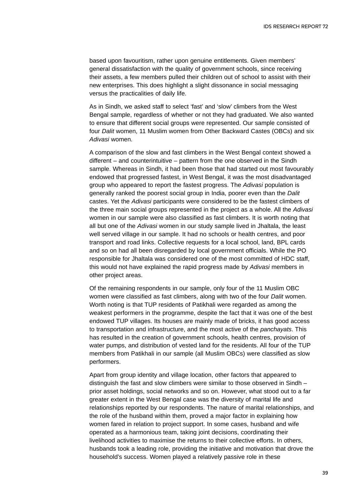based upon favouritism, rather upon genuine entitlements. Given members' general dissatisfaction with the quality of government schools, since receiving their assets, a few members pulled their children out of school to assist with their new enterprises. This does highlight a slight dissonance in social messaging versus the practicalities of daily life.

As in Sindh, we asked staff to select 'fast' and 'slow' climbers from the West Bengal sample, regardless of whether or not they had graduated. We also wanted to ensure that different social groups were represented. Our sample consisted of four *Dalit* women, 11 Muslim women from Other Backward Castes (OBCs) and six *Adivasi* women.

A comparison of the slow and fast climbers in the West Bengal context showed a different – and counterintuitive – pattern from the one observed in the Sindh sample. Whereas in Sindh, it had been those that had started out most favourably endowed that progressed fastest, in West Bengal, it was the most disadvantaged group who appeared to report the fastest progress. The *Adivasi* population is generally ranked the poorest social group in India, poorer even than the *Dalit* castes. Yet the *Adivasi* participants were considered to be the fastest climbers of the three main social groups represented in the project as a whole. All the *Adivasi* women in our sample were also classified as fast climbers. It is worth noting that all but one of the *Adivasi* women in our study sample lived in Jhaltala, the least well served village in our sample. It had no schools or health centres, and poor transport and road links. Collective requests for a local school, land, BPL cards and so on had all been disregarded by local government officials. While the PO responsible for Jhaltala was considered one of the most committed of HDC staff, this would not have explained the rapid progress made by *Adivasi* members in other project areas.

Of the remaining respondents in our sample, only four of the 11 Muslim OBC women were classified as fast climbers, along with two of the four *Dalit* women. Worth noting is that TUP residents of Patikhali were regarded as among the weakest performers in the programme, despite the fact that it was one of the best endowed TUP villages. Its houses are mainly made of bricks, it has good access to transportation and infrastructure, and the most active of the *panchayats*. This has resulted in the creation of government schools, health centres, provision of water pumps, and distribution of vested land for the residents. All four of the TUP members from Patikhali in our sample (all Muslim OBCs) were classified as slow performers.

Apart from group identity and village location, other factors that appeared to distinguish the fast and slow climbers were similar to those observed in Sindh – prior asset holdings, social networks and so on. However, what stood out to a far greater extent in the West Bengal case was the diversity of marital life and relationships reported by our respondents. The nature of marital relationships, and the role of the husband within them, proved a major factor in explaining how women fared in relation to project support. In some cases, husband and wife operated as a harmonious team, taking joint decisions, coordinating their livelihood activities to maximise the returns to their collective efforts. In others, husbands took a leading role, providing the initiative and motivation that drove the household's success. Women played a relatively passive role in these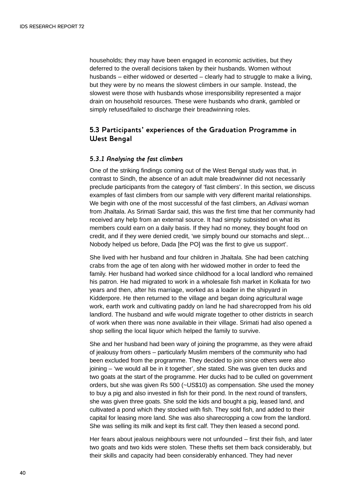households; they may have been engaged in economic activities, but they deferred to the overall decisions taken by their husbands. Women without husbands – either widowed or deserted – clearly had to struggle to make a living, but they were by no means the slowest climbers in our sample. Instead, the slowest were those with husbands whose irresponsibility represented a major drain on household resources. These were husbands who drank, gambled or simply refused/failed to discharge their breadwinning roles.

### **5.3 Participants' experiences of the Graduation Programme in West Bengal**

### *5.3.1 Analysing the fast climbers*

One of the striking findings coming out of the West Bengal study was that, in contrast to Sindh, the absence of an adult male breadwinner did not necessarily preclude participants from the category of 'fast climbers'. In this section, we discuss examples of fast climbers from our sample with very different marital relationships. We begin with one of the most successful of the fast climbers, an *Adivasi* woman from Jhaltala. As Srimati Sardar said, this was the first time that her community had received any help from an external source. It had simply subsisted on what its members could earn on a daily basis. If they had no money, they bought food on credit, and if they were denied credit, 'we simply bound our stomachs and slept… Nobody helped us before, Dada [the PO] was the first to give us support'.

She lived with her husband and four children in Jhaltala. She had been catching crabs from the age of ten along with her widowed mother in order to feed the family. Her husband had worked since childhood for a local landlord who remained his patron. He had migrated to work in a wholesale fish market in Kolkata for two years and then, after his marriage, worked as a loader in the shipyard in Kidderpore. He then returned to the village and began doing agricultural wage work, earth work and cultivating paddy on land he had sharecropped from his old landlord. The husband and wife would migrate together to other districts in search of work when there was none available in their village. Srimati had also opened a shop selling the local liquor which helped the family to survive.

She and her husband had been wary of joining the programme, as they were afraid of jealousy from others – particularly Muslim members of the community who had been excluded from the programme. They decided to join since others were also joining – 'we would all be in it together', she stated. She was given ten ducks and two goats at the start of the programme. Her ducks had to be culled on government orders, but she was given Rs 500 (~US\$10) as compensation. She used the money to buy a pig and also invested in fish for their pond. In the next round of transfers, she was given three goats. She sold the kids and bought a pig, leased land, and cultivated a pond which they stocked with fish. They sold fish, and added to their capital for leasing more land. She was also sharecropping a cow from the landlord. She was selling its milk and kept its first calf. They then leased a second pond.

Her fears about jealous neighbours were not unfounded – first their fish, and later two goats and two kids were stolen. These thefts set them back considerably, but their skills and capacity had been considerably enhanced. They had never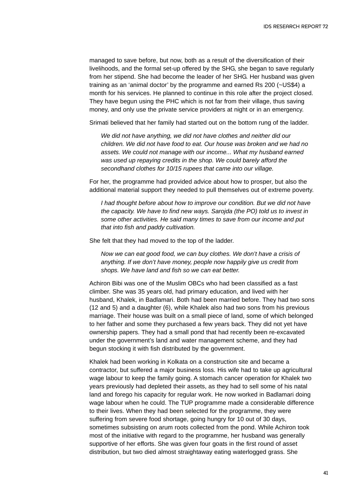managed to save before, but now, both as a result of the diversification of their livelihoods, and the formal set-up offered by the SHG, she began to save regularly from her stipend. She had become the leader of her SHG. Her husband was given training as an 'animal doctor' by the programme and earned Rs 200 (~US\$4) a month for his services. He planned to continue in this role after the project closed. They have begun using the PHC which is not far from their village, thus saving money, and only use the private service providers at night or in an emergency.

Srimati believed that her family had started out on the bottom rung of the ladder.

*We did not have anything, we did not have clothes and neither did our children. We did not have food to eat. Our house was broken and we had no assets. We could not manage with our income... What my husband earned was used up repaying credits in the shop. We could barely afford the secondhand clothes for 10/15 rupees that came into our village.*

For her, the programme had provided advice about how to prosper, but also the additional material support they needed to pull themselves out of extreme poverty.

*I had thought before about how to improve our condition. But we did not have the capacity. We have to find new ways. Sarojda (the PO) told us to invest in some other activities. He said many times to save from our income and put that into fish and paddy cultivation.* 

She felt that they had moved to the top of the ladder.

*Now we can eat good food, we can buy clothes. We don't have a crisis of anything. If we don't have money, people now happily give us credit from shops. We have land and fish so we can eat better.*

Achiron Bibi was one of the Muslim OBCs who had been classified as a fast climber. She was 35 years old, had primary education, and lived with her husband, Khalek, in Badlamari. Both had been married before. They had two sons (12 and 5) and a daughter (6), while Khalek also had two sons from his previous marriage. Their house was built on a small piece of land, some of which belonged to her father and some they purchased a few years back. They did not yet have ownership papers. They had a small pond that had recently been re-excavated under the government's land and water management scheme, and they had begun stocking it with fish distributed by the government.

Khalek had been working in Kolkata on a construction site and became a contractor, but suffered a major business loss. His wife had to take up agricultural wage labour to keep the family going. A stomach cancer operation for Khalek two years previously had depleted their assets, as they had to sell some of his natal land and forego his capacity for regular work. He now worked in Badlamari doing wage labour when he could. The TUP programme made a considerable difference to their lives. When they had been selected for the programme, they were suffering from severe food shortage, going hungry for 10 out of 30 days, sometimes subsisting on arum roots collected from the pond. While Achiron took most of the initiative with regard to the programme, her husband was generally supportive of her efforts. She was given four goats in the first round of asset distribution, but two died almost straightaway eating waterlogged grass. She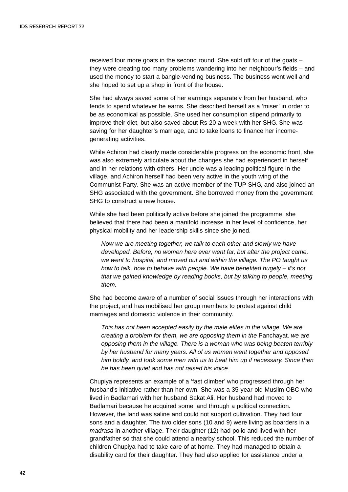received four more goats in the second round. She sold off four of the goats – they were creating too many problems wandering into her neighbour's fields – and used the money to start a bangle-vending business. The business went well and she hoped to set up a shop in front of the house.

She had always saved some of her earnings separately from her husband, who tends to spend whatever he earns. She described herself as a 'miser' in order to be as economical as possible. She used her consumption stipend primarily to improve their diet, but also saved about Rs 20 a week with her SHG. She was saving for her daughter's marriage, and to take loans to finance her incomegenerating activities.

While Achiron had clearly made considerable progress on the economic front, she was also extremely articulate about the changes she had experienced in herself and in her relations with others. Her uncle was a leading political figure in the village, and Achiron herself had been very active in the youth wing of the Communist Party. She was an active member of the TUP SHG, and also joined an SHG associated with the government. She borrowed money from the government SHG to construct a new house.

While she had been politically active before she joined the programme, she believed that there had been a manifold increase in her level of confidence, her physical mobility and her leadership skills since she joined.

*Now we are meeting together, we talk to each other and slowly we have developed. Before, no women here ever went far, but after the project came, we went to hospital, and moved out and within the village. The PO taught us how to talk, how to behave with people. We have benefited hugely – it's not that we gained knowledge by reading books, but by talking to people, meeting them.*

She had become aware of a number of social issues through her interactions with the project, and has mobilised her group members to protest against child marriages and domestic violence in their community.

*This has not been accepted easily by the male elites in the village. We are creating a problem for them, we are opposing them in the* Panchayat*, we are opposing them in the village. There is a woman who was being beaten terribly by her husband for many years. All of us women went together and opposed him boldly, and took some men with us to beat him up if necessary. Since then he has been quiet and has not raised his voice.*

Chupiya represents an example of a 'fast climber' who progressed through her husband's initiative rather than her own. She was a 35-year-old Muslim OBC who lived in Badlamari with her husband Sakat Ali. Her husband had moved to Badlamari because he acquired some land through a political connection. However, the land was saline and could not support cultivation. They had four sons and a daughter. The two older sons (10 and 9) were living as boarders in a *madrasa* in another village. Their daughter (12) had polio and lived with her grandfather so that she could attend a nearby school. This reduced the number of children Chupiya had to take care of at home. They had managed to obtain a disability card for their daughter. They had also applied for assistance under a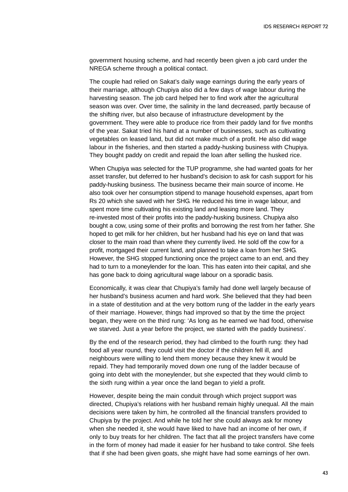government housing scheme, and had recently been given a job card under the NREGA scheme through a political contact.

The couple had relied on Sakat's daily wage earnings during the early years of their marriage, although Chupiya also did a few days of wage labour during the harvesting season. The job card helped her to find work after the agricultural season was over. Over time, the salinity in the land decreased, partly because of the shifting river, but also because of infrastructure development by the government. They were able to produce rice from their paddy land for five months of the year. Sakat tried his hand at a number of businesses, such as cultivating vegetables on leased land, but did not make much of a profit. He also did wage labour in the fisheries, and then started a paddy-husking business with Chupiya. They bought paddy on credit and repaid the loan after selling the husked rice.

When Chupiya was selected for the TUP programme, she had wanted goats for her asset transfer, but deferred to her husband's decision to ask for cash support for his paddy-husking business. The business became their main source of income. He also took over her consumption stipend to manage household expenses, apart from Rs 20 which she saved with her SHG. He reduced his time in wage labour, and spent more time cultivating his existing land and leasing more land. They re-invested most of their profits into the paddy-husking business. Chupiya also bought a cow, using some of their profits and borrowing the rest from her father. She hoped to get milk for her children, but her husband had his eye on land that was closer to the main road than where they currently lived. He sold off the cow for a profit, mortgaged their current land, and planned to take a loan from her SHG. However, the SHG stopped functioning once the project came to an end, and they had to turn to a moneylender for the loan. This has eaten into their capital, and she has gone back to doing agricultural wage labour on a sporadic basis.

Economically, it was clear that Chupiya's family had done well largely because of her husband's business acumen and hard work. She believed that they had been in a state of destitution and at the very bottom rung of the ladder in the early years of their marriage. However, things had improved so that by the time the project began, they were on the third rung: 'As long as he earned we had food, otherwise we starved. Just a year before the project, we started with the paddy business'.

By the end of the research period, they had climbed to the fourth rung: they had food all year round, they could visit the doctor if the children fell ill, and neighbours were willing to lend them money because they knew it would be repaid. They had temporarily moved down one rung of the ladder because of going into debt with the moneylender, but she expected that they would climb to the sixth rung within a year once the land began to yield a profit.

However, despite being the main conduit through which project support was directed, Chupiya's relations with her husband remain highly unequal. All the main decisions were taken by him, he controlled all the financial transfers provided to Chupiya by the project. And while he told her she could always ask for money when she needed it, she would have liked to have had an income of her own, if only to buy treats for her children. The fact that all the project transfers have come in the form of money had made it easier for her husband to take control. She feels that if she had been given goats, she might have had some earnings of her own.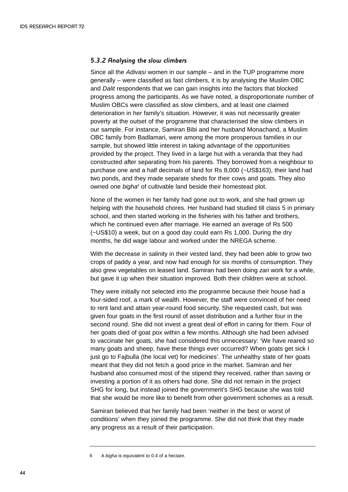#### *5.3.2 Analysing the slow climbers*

Since all the *Adivasi* women in our sample – and in the TUP programme more generally – were classified as fast climbers, it is by analysing the Muslim OBC and *Dalit* respondents that we can gain insights into the factors that blocked progress among the participants. As we have noted, a disproportionate number of Muslim OBCs were classified as slow climbers, and at least one claimed deterioration in her family's situation. However, it was not necessarily greater poverty at the outset of the programme that characterised the slow climbers in our sample. For instance, Samiran Bibi and her husband Monachand, a Muslim OBC family from Badlamari, were among the more prosperous families in our sample, but showed little interest in taking advantage of the opportunities provided by the project. They lived in a large hut with a veranda that they had constructed after separating from his parents. They borrowed from a neighbour to purchase one and a half decimals of land for Rs 8,000 (~US\$163), their land had two ponds, and they made separate sheds for their cows and goats. They also owned one *bigha*<sup>6</sup> of cultivable land beside their homestead plot.

None of the women in her family had gone out to work, and she had grown up helping with the household chores. Her husband had studied till class 5 in primary school, and then started working in the fisheries with his father and brothers, which he continued even after marriage. He earned an average of Rs 500 (~US\$10) a week, but on a good day could earn Rs 1,000. During the dry months, he did wage labour and worked under the NREGA scheme.

With the decrease in salinity in their vested land, they had been able to grow two crops of paddy a year, and now had enough for six months of consumption. They also grew vegetables on leased land. Samiran had been doing *zari* work for a while, but gave it up when their situation improved. Both their children were at school.

They were initially not selected into the programme because their house had a four-sided roof, a mark of wealth. However, the staff were convinced of her need to rent land and attain year-round food security. She requested cash, but was given four goats in the first round of asset distribution and a further four in the second round. She did not invest a great deal of effort in caring for them. Four of her goats died of goat pox within a few months. Although she had been advised to vaccinate her goats, she had considered this unnecessary: 'We have reared so many goats and sheep, have these things ever occurred? When goats get sick I just go to Fajbulla (the local vet) for medicines'. The unhealthy state of her goats meant that they did not fetch a good price in the market. Samiran and her husband also consumed most of the stipend they received, rather than saving or investing a portion of it as others had done. She did not remain in the project SHG for long, but instead joined the government's SHG because she was told that she would be more like to benefit from other government schemes as a result.

Samiran believed that her family had been 'neither in the best or worst of conditions' when they joined the programme. She did not think that they made any progress as a result of their participation.

<sup>6</sup> A *bigha* is equivalent to 0.4 of a hectare.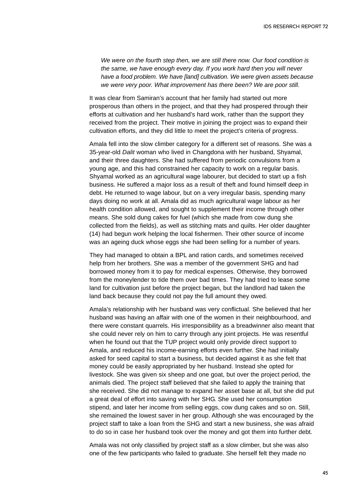*We were on the fourth step then, we are still there now. Our food condition is the same, we have enough every day. If you work hard then you will never have a food problem. We have [land] cultivation. We were given assets because we were very poor. What improvement has there been? We are poor still.* 

It was clear from Samiran's account that her family had started out more prosperous than others in the project, and that they had prospered through their efforts at cultivation and her husband's hard work, rather than the support they received from the project. Their motive in joining the project was to expand their cultivation efforts, and they did little to meet the project's criteria of progress.

Amala fell into the slow climber category for a different set of reasons. She was a 35-year-old *Dalit* woman who lived in Changdona with her husband, Shyamal, and their three daughters. She had suffered from periodic convulsions from a young age, and this had constrained her capacity to work on a regular basis. Shyamal worked as an agricultural wage labourer, but decided to start up a fish business. He suffered a major loss as a result of theft and found himself deep in debt. He returned to wage labour, but on a very irregular basis, spending many days doing no work at all. Amala did as much agricultural wage labour as her health condition allowed, and sought to supplement their income through other means. She sold dung cakes for fuel (which she made from cow dung she collected from the fields), as well as stitching mats and quilts. Her older daughter (14) had begun work helping the local fishermen. Their other source of income was an ageing duck whose eggs she had been selling for a number of years.

They had managed to obtain a BPL and ration cards, and sometimes received help from her brothers. She was a member of the government SHG and had borrowed money from it to pay for medical expenses. Otherwise, they borrowed from the moneylender to tide them over bad times. They had tried to lease some land for cultivation just before the project began, but the landlord had taken the land back because they could not pay the full amount they owed.

Amala's relationship with her husband was very conflictual. She believed that her husband was having an affair with one of the women in their neighbourhood, and there were constant quarrels. His irresponsibility as a breadwinner also meant that she could never rely on him to carry through any joint projects. He was resentful when he found out that the TUP project would only provide direct support to Amala, and reduced his income-earning efforts even further. She had initially asked for seed capital to start a business, but decided against it as she felt that money could be easily appropriated by her husband. Instead she opted for livestock. She was given six sheep and one goat, but over the project period, the animals died. The project staff believed that she failed to apply the training that she received. She did not manage to expand her asset base at all, but she did put a great deal of effort into saving with her SHG. She used her consumption stipend, and later her income from selling eggs, cow dung cakes and so on. Still, she remained the lowest saver in her group. Although she was encouraged by the project staff to take a loan from the SHG and start a new business, she was afraid to do so in case her husband took over the money and got them into further debt.

Amala was not only classified by project staff as a slow climber, but she was also one of the few participants who failed to graduate. She herself felt they made no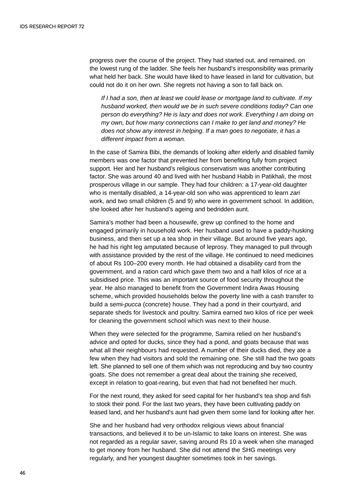progress over the course of the project. They had started out, and remained, on the lowest rung of the ladder. She feels her husband's irresponsibility was primarily what held her back. She would have liked to have leased in land for cultivation, but could not do it on her own. She regrets not having a son to fall back on.

*If I had a son, then at least we could lease or mortgage land to cultivate. If my husband worked, then would we be in such severe conditions today? Can one person do everything? He is lazy and does not work. Everything I am doing on my own, but how many connections can I make to get land and money? He does not show any interest in helping. If a man goes to negotiate, it has a different impact from a woman.*

In the case of Samira Bibi, the demands of looking after elderly and disabled family members was one factor that prevented her from benefiting fully from project support. Her and her husband's religious conservatism was another contributing factor. She was around 40 and lived with her husband Habib in Patikhali, the most prosperous village in our sample. They had four children: a 17-year-old daughter who is mentally disabled, a 14-year-old son who was apprenticed to learn *zari* work, and two small children (5 and 9) who were in government school. In addition, she looked after her husband's ageing and bedridden aunt.

Samira's mother had been a housewife, grew up confined to the home and engaged primarily in household work. Her husband used to have a paddy-husking business, and then set up a tea shop in their village. But around five years ago, he had his right leg amputated because of leprosy. They managed to pull through with assistance provided by the rest of the village. He continued to need medicines of about Rs 100–200 every month. He had obtained a disability card from the government, and a ration card which gave them two and a half kilos of rice at a subsidised price. This was an important source of food security throughout the year. He also managed to benefit from the Government Indira Awas Housing scheme, which provided households below the poverty line with a cash transfer to build a semi-*pucca* (concrete) house. They had a pond in their courtyard, and separate sheds for livestock and poultry. Samira earned two kilos of rice per week for cleaning the government school which was next to their house.

When they were selected for the programme, Samira relied on her husband's advice and opted for ducks, since they had a pond, and goats because that was what all their neighbours had requested. A number of their ducks died, they ate a few when they had visitors and sold the remaining one. She still had the two goats left. She planned to sell one of them which was not reproducing and buy two country goats. She does not remember a great deal about the training she received, except in relation to goat-rearing, but even that had not benefited her much.

For the next round, they asked for seed capital for her husband's tea shop and fish to stock their pond. For the last two years, they have been cultivating paddy on leased land, and her husband's aunt had given them some land for looking after her.

She and her husband had very orthodox religious views about financial transactions, and believed it to be un-Islamic to take loans on interest. She was not regarded as a regular saver, saving around Rs 10 a week when she managed to get money from her husband. She did not attend the SHG meetings very regularly, and her youngest daughter sometimes took in her savings.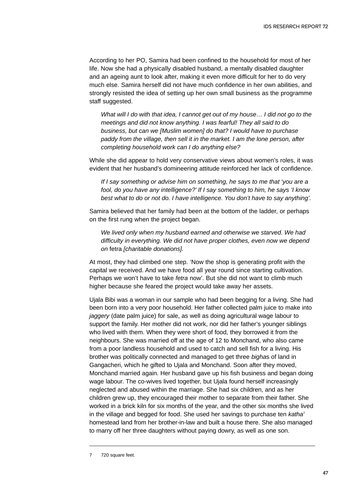According to her PO, Samira had been confined to the household for most of her life. Now she had a physically disabled husband, a mentally disabled daughter and an ageing aunt to look after, making it even more difficult for her to do very much else. Samira herself did not have much confidence in her own abilities, and strongly resisted the idea of setting up her own small business as the programme staff suggested.

*What will I do with that idea, I cannot get out of my house… I did not go to the meetings and did not know anything. I was fearful! They all said to do business, but can we [Muslim women] do that? I would have to purchase paddy from the village, then sell it in the market. I am the lone person, after completing household work can I do anything else?*

While she did appear to hold very conservative views about women's roles, it was evident that her husband's domineering attitude reinforced her lack of confidence.

*If I say something or advise him on something, he says to me that 'you are a fool, do you have any intelligence?' If I say something to him, he says 'I know best what to do or not do. I have intelligence. You don't have to say anything'.*

Samira believed that her family had been at the bottom of the ladder, or perhaps on the first rung when the project began.

*We lived only when my husband earned and otherwise we starved. We had difficulty in everything. We did not have proper clothes, even now we depend on* fetra *[charitable donations].* 

At most, they had climbed one step. 'Now the shop is generating profit with the capital we received. And we have food all year round since starting cultivation. Perhaps we won't have to take *fetra* now'. But she did not want to climb much higher because she feared the project would take away her assets.

Ujala Bibi was a woman in our sample who had been begging for a living. She had been born into a very poor household. Her father collected palm juice to make into *jaggery* (date palm juice) for sale, as well as doing agricultural wage labour to support the family. Her mother did not work, nor did her father's younger siblings who lived with them. When they were short of food, they borrowed it from the neighbours. She was married off at the age of 12 to Monchand, who also came from a poor landless household and used to catch and sell fish for a living. His brother was politically connected and managed to get three *bigha*s of land in Gangacheri, which he gifted to Ujala and Monchand. Soon after they moved, Monchand married again. Her husband gave up his fish business and began doing wage labour. The co-wives lived together, but Ujala found herself increasingly neglected and abused within the marriage. She had six children, and as her children grew up, they encouraged their mother to separate from their father. She worked in a brick kiln for six months of the year, and the other six months she lived in the village and begged for food. She used her savings to purchase ten *katha*<sup>7</sup> homestead land from her brother-in-law and built a house there. She also managed to marry off her three daughters without paying dowry, as well as one son.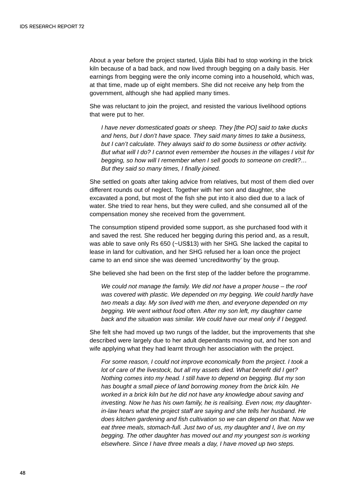About a year before the project started, Ujala Bibi had to stop working in the brick kiln because of a bad back, and now lived through begging on a daily basis. Her earnings from begging were the only income coming into a household, which was, at that time, made up of eight members. She did not receive any help from the government, although she had applied many times.

She was reluctant to join the project, and resisted the various livelihood options that were put to her.

*I have never domesticated goats or sheep. They [the PO] said to take ducks and hens, but I don't have space. They said many times to take a business, but I can't calculate. They always said to do some business or other activity. But what will I do? I cannot even remember the houses in the villages I visit for begging, so how will I remember when I sell goods to someone on credit?… But they said so many times, I finally joined.*

She settled on goats after taking advice from relatives, but most of them died over different rounds out of neglect. Together with her son and daughter, she excavated a pond, but most of the fish she put into it also died due to a lack of water. She tried to rear hens, but they were culled, and she consumed all of the compensation money she received from the government.

The consumption stipend provided some support, as she purchased food with it and saved the rest. She reduced her begging during this period and, as a result, was able to save only Rs 650 (~US\$13) with her SHG. She lacked the capital to lease in land for cultivation, and her SHG refused her a loan once the project came to an end since she was deemed 'uncreditworthy' by the group.

She believed she had been on the first step of the ladder before the programme.

*We could not manage the family. We did not have a proper house – the roof was covered with plastic. We depended on my begging. We could hardly have two meals a day. My son lived with me then, and everyone depended on my begging. We went without food often. After my son left, my daughter came back and the situation was similar. We could have our meal only if I begged.*

She felt she had moved up two rungs of the ladder, but the improvements that she described were largely due to her adult dependants moving out, and her son and wife applying what they had learnt through her association with the project.

*For some reason, I could not improve economically from the project. I took a lot of care of the livestock, but all my assets died. What benefit did I get? Nothing comes into my head. I still have to depend on begging. But my son has bought a small piece of land borrowing money from the brick kiln. He worked in a brick kiln but he did not have any knowledge about saving and investing. Now he has his own family, he is realising. Even now, my daughterin-law hears what the project staff are saying and she tells her husband. He does kitchen gardening and fish cultivation so we can depend on that. Now we eat three meals, stomach-full. Just two of us, my daughter and I, live on my begging. The other daughter has moved out and my youngest son is working elsewhere. Since I have three meals a day, I have moved up two steps.*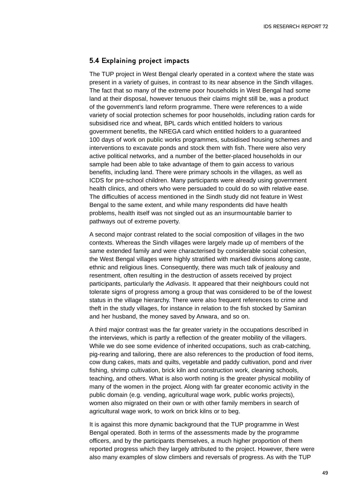### **5.4 Explaining project impacts**

The TUP project in West Bengal clearly operated in a context where the state was present in a variety of guises, in contrast to its near absence in the Sindh villages. The fact that so many of the extreme poor households in West Bengal had some land at their disposal, however tenuous their claims might still be, was a product of the government's land reform programme. There were references to a wide variety of social protection schemes for poor households, including ration cards for subsidised rice and wheat, BPL cards which entitled holders to various government benefits, the NREGA card which entitled holders to a guaranteed 100 days of work on public works programmes, subsidised housing schemes and interventions to excavate ponds and stock them with fish. There were also very active political networks, and a number of the better-placed households in our sample had been able to take advantage of them to gain access to various benefits, including land. There were primary schools in the villages, as well as ICDS for pre-school children. Many participants were already using government health clinics, and others who were persuaded to could do so with relative ease. The difficulties of access mentioned in the Sindh study did not feature in West Bengal to the same extent, and while many respondents did have health problems, health itself was not singled out as an insurmountable barrier to pathways out of extreme poverty.

A second major contrast related to the social composition of villages in the two contexts. Whereas the Sindh villages were largely made up of members of the same extended family and were characterised by considerable social cohesion, the West Bengal villages were highly stratified with marked divisions along caste, ethnic and religious lines. Consequently, there was much talk of jealousy and resentment, often resulting in the destruction of assets received by project participants, particularly the *Adivasis*. It appeared that their neighbours could not tolerate signs of progress among a group that was considered to be of the lowest status in the village hierarchy. There were also frequent references to crime and theft in the study villages, for instance in relation to the fish stocked by Samiran and her husband, the money saved by Anwara, and so on.

A third major contrast was the far greater variety in the occupations described in the interviews, which is partly a reflection of the greater mobility of the villagers. While we do see some evidence of inherited occupations, such as crab-catching, pig-rearing and tailoring, there are also references to the production of food items, cow dung cakes, mats and quilts, vegetable and paddy cultivation, pond and river fishing, shrimp cultivation, brick kiln and construction work, cleaning schools, teaching, and others. What is also worth noting is the greater physical mobility of many of the women in the project. Along with far greater economic activity in the public domain (e.g. vending, agricultural wage work, public works projects), women also migrated on their own or with other family members in search of agricultural wage work, to work on brick kilns or to beg.

It is against this more dynamic background that the TUP programme in West Bengal operated. Both in terms of the assessments made by the programme officers, and by the participants themselves, a much higher proportion of them reported progress which they largely attributed to the project. However, there were also many examples of slow climbers and reversals of progress. As with the TUP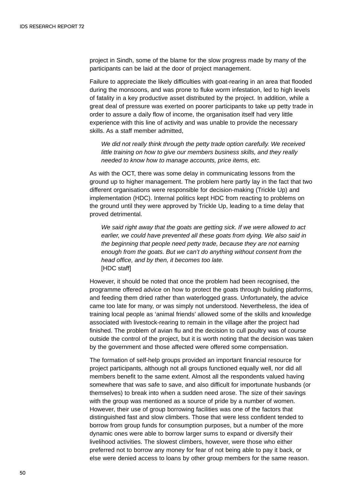project in Sindh, some of the blame for the slow progress made by many of the participants can be laid at the door of project management.

Failure to appreciate the likely difficulties with goat-rearing in an area that flooded during the monsoons, and was prone to fluke worm infestation, led to high levels of fatality in a key productive asset distributed by the project. In addition, while a great deal of pressure was exerted on poorer participants to take up petty trade in order to assure a daily flow of income, the organisation itself had very little experience with this line of activity and was unable to provide the necessary skills. As a staff member admitted,

*We did not really think through the petty trade option carefully. We received little training on how to give our members business skills, and they really needed to know how to manage accounts, price items, etc.* 

As with the OCT, there was some delay in communicating lessons from the ground up to higher management. The problem here partly lay in the fact that two different organisations were responsible for decision-making (Trickle Up) and implementation (HDC). Internal politics kept HDC from reacting to problems on the ground until they were approved by Trickle Up, leading to a time delay that proved detrimental.

*We said right away that the goats are getting sick. If we were allowed to act earlier, we could have prevented all these goats from dying. We also said in the beginning that people need petty trade, because they are not earning enough from the goats. But we can't do anything without consent from the head office, and by then, it becomes too late.* [HDC staff]

However, it should be noted that once the problem had been recognised, the programme offered advice on how to protect the goats through building platforms, and feeding them dried rather than waterlogged grass. Unfortunately, the advice came too late for many, or was simply not understood. Nevertheless, the idea of training local people as 'animal friends' allowed some of the skills and knowledge associated with livestock-rearing to remain in the village after the project had finished. The problem of avian flu and the decision to cull poultry was of course outside the control of the project, but it is worth noting that the decision was taken by the government and those affected were offered some compensation.

The formation of self-help groups provided an important financial resource for project participants, although not all groups functioned equally well, nor did all members benefit to the same extent. Almost all the respondents valued having somewhere that was safe to save, and also difficult for importunate husbands (or themselves) to break into when a sudden need arose. The size of their savings with the group was mentioned as a source of pride by a number of women. However, their use of group borrowing facilities was one of the factors that distinguished fast and slow climbers. Those that were less confident tended to borrow from group funds for consumption purposes, but a number of the more dynamic ones were able to borrow larger sums to expand or diversify their livelihood activities. The slowest climbers, however, were those who either preferred not to borrow any money for fear of not being able to pay it back, or else were denied access to loans by other group members for the same reason.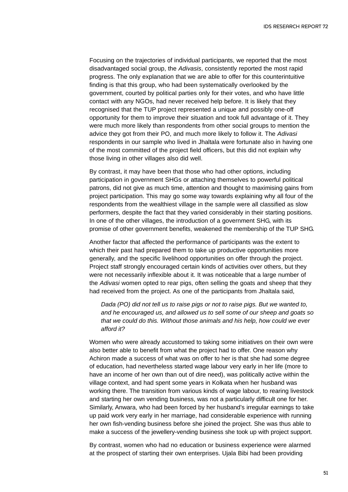Focusing on the trajectories of individual participants, we reported that the most disadvantaged social group, the *Adivasis*, consistently reported the most rapid progress. The only explanation that we are able to offer for this counterintuitive finding is that this group, who had been systematically overlooked by the government, courted by political parties only for their votes, and who have little contact with any NGOs, had never received help before. It is likely that they recognised that the TUP project represented a unique and possibly one-off opportunity for them to improve their situation and took full advantage of it. They were much more likely than respondents from other social groups to mention the advice they got from their PO, and much more likely to follow it. The *Adivasi* respondents in our sample who lived in Jhaltala were fortunate also in having one of the most committed of the project field officers, but this did not explain why those living in other villages also did well.

By contrast, it may have been that those who had other options, including participation in government SHGs or attaching themselves to powerful political patrons, did not give as much time, attention and thought to maximising gains from project participation. This may go some way towards explaining why all four of the respondents from the wealthiest village in the sample were all classified as slow performers, despite the fact that they varied considerably in their starting positions. In one of the other villages, the introduction of a government SHG, with its promise of other government benefits, weakened the membership of the TUP SHG.

Another factor that affected the performance of participants was the extent to which their past had prepared them to take up productive opportunities more generally, and the specific livelihood opportunities on offer through the project. Project staff strongly encouraged certain kinds of activities over others, but they were not necessarily inflexible about it. It was noticeable that a large number of the *Adivasi* women opted to rear pigs, often selling the goats and sheep that they had received from the project. As one of the participants from Jhaltala said,

*Dada (PO) did not tell us to raise pigs or not to raise pigs. But we wanted to, and he encouraged us, and allowed us to sell some of our sheep and goats so that we could do this. Without those animals and his help, how could we ever afford it?*

Women who were already accustomed to taking some initiatives on their own were also better able to benefit from what the project had to offer. One reason why Achiron made a success of what was on offer to her is that she had some degree of education, had nevertheless started wage labour very early in her life (more to have an income of her own than out of dire need), was politically active within the village context, and had spent some years in Kolkata when her husband was working there. The transition from various kinds of wage labour, to rearing livestock and starting her own vending business, was not a particularly difficult one for her. Similarly, Anwara, who had been forced by her husband's irregular earnings to take up paid work very early in her marriage, had considerable experience with running her own fish-vending business before she joined the project. She was thus able to make a success of the jewellery-vending business she took up with project support.

By contrast, women who had no education or business experience were alarmed at the prospect of starting their own enterprises. Ujala Bibi had been providing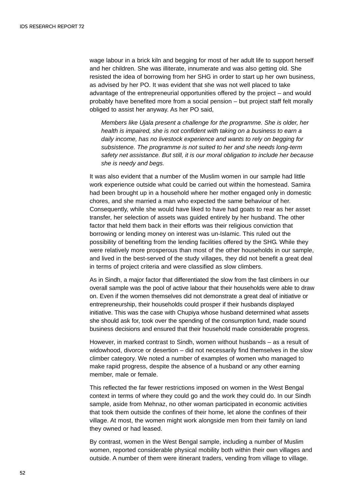wage labour in a brick kiln and begging for most of her adult life to support herself and her children. She was illiterate, innumerate and was also getting old. She resisted the idea of borrowing from her SHG in order to start up her own business, as advised by her PO. It was evident that she was not well placed to take advantage of the entrepreneurial opportunities offered by the project – and would probably have benefited more from a social pension – but project staff felt morally obliged to assist her anyway. As her PO said,

*Members like Ujala present a challenge for the programme. She is older, her health is impaired, she is not confident with taking on a business to earn a daily income, has no livestock experience and wants to rely on begging for subsistence. The programme is not suited to her and she needs long-term safety net assistance. But still, it is our moral obligation to include her because she is needy and begs.*

It was also evident that a number of the Muslim women in our sample had little work experience outside what could be carried out within the homestead. Samira had been brought up in a household where her mother engaged only in domestic chores, and she married a man who expected the same behaviour of her. Consequently, while she would have liked to have had goats to rear as her asset transfer, her selection of assets was guided entirely by her husband. The other factor that held them back in their efforts was their religious conviction that borrowing or lending money on interest was un-Islamic. This ruled out the possibility of benefiting from the lending facilities offered by the SHG. While they were relatively more prosperous than most of the other households in our sample, and lived in the best-served of the study villages, they did not benefit a great deal in terms of project criteria and were classified as slow climbers.

As in Sindh, a major factor that differentiated the slow from the fast climbers in our overall sample was the pool of active labour that their households were able to draw on. Even if the women themselves did not demonstrate a great deal of initiative or entrepreneurship, their households could prosper if their husbands displayed initiative. This was the case with Chupiya whose husband determined what assets she should ask for, took over the spending of the consumption fund, made sound business decisions and ensured that their household made considerable progress.

However, in marked contrast to Sindh, women without husbands – as a result of widowhood, divorce or desertion – did not necessarily find themselves in the slow climber category. We noted a number of examples of women who managed to make rapid progress, despite the absence of a husband or any other earning member, male or female.

This reflected the far fewer restrictions imposed on women in the West Bengal context in terms of where they could go and the work they could do. In our Sindh sample, aside from Mehnaz, no other woman participated in economic activities that took them outside the confines of their home, let alone the confines of their village. At most, the women might work alongside men from their family on land they owned or had leased.

By contrast, women in the West Bengal sample, including a number of Muslim women, reported considerable physical mobility both within their own villages and outside. A number of them were itinerant traders, vending from village to village.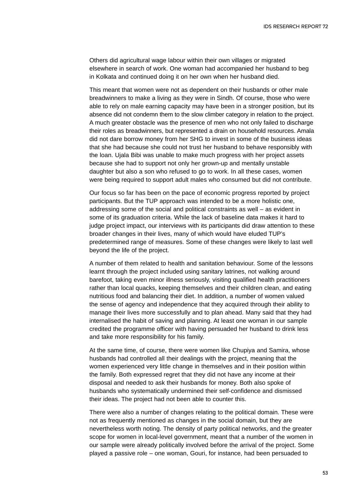Others did agricultural wage labour within their own villages or migrated elsewhere in search of work. One woman had accompanied her husband to beg in Kolkata and continued doing it on her own when her husband died.

This meant that women were not as dependent on their husbands or other male breadwinners to make a living as they were in Sindh. Of course, those who were able to rely on male earning capacity may have been in a stronger position, but its absence did not condemn them to the slow climber category in relation to the project. A much greater obstacle was the presence of men who not only failed to discharge their roles as breadwinners, but represented a drain on household resources. Amala did not dare borrow money from her SHG to invest in some of the business ideas that she had because she could not trust her husband to behave responsibly with the loan. Ujala Bibi was unable to make much progress with her project assets because she had to support not only her grown-up and mentally unstable daughter but also a son who refused to go to work. In all these cases, women were being required to support adult males who consumed but did not contribute.

Our focus so far has been on the pace of economic progress reported by project participants. But the TUP approach was intended to be a more holistic one, addressing some of the social and political constraints as well – as evident in some of its graduation criteria. While the lack of baseline data makes it hard to judge project impact, our interviews with its participants did draw attention to these broader changes in their lives, many of which would have eluded TUP's predetermined range of measures. Some of these changes were likely to last well beyond the life of the project.

A number of them related to health and sanitation behaviour. Some of the lessons learnt through the project included using sanitary latrines, not walking around barefoot, taking even minor illness seriously, visiting qualified health practitioners rather than local quacks, keeping themselves and their children clean, and eating nutritious food and balancing their diet. In addition, a number of women valued the sense of agency and independence that they acquired through their ability to manage their lives more successfully and to plan ahead. Many said that they had internalised the habit of saving and planning. At least one woman in our sample credited the programme officer with having persuaded her husband to drink less and take more responsibility for his family.

At the same time, of course, there were women like Chupiya and Samira, whose husbands had controlled all their dealings with the project, meaning that the women experienced very little change in themselves and in their position within the family. Both expressed regret that they did not have any income at their disposal and needed to ask their husbands for money. Both also spoke of husbands who systematically undermined their self-confidence and dismissed their ideas. The project had not been able to counter this.

There were also a number of changes relating to the political domain. These were not as frequently mentioned as changes in the social domain, but they are nevertheless worth noting. The density of party political networks, and the greater scope for women in local-level government, meant that a number of the women in our sample were already politically involved before the arrival of the project. Some played a passive role – one woman, Gouri, for instance, had been persuaded to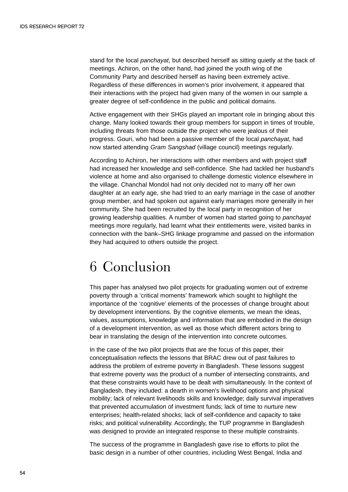stand for the local *panchayat*, but described herself as sitting quietly at the back of meetings. Achiron, on the other hand, had joined the youth wing of the Community Party and described herself as having been extremely active. Regardless of these differences in women's prior involvement, it appeared that their interactions with the project had given many of the women in our sample a greater degree of self-confidence in the public and political domains.

Active engagement with their SHGs played an important role in bringing about this change. Many looked towards their group members for support in times of trouble, including threats from those outside the project who were jealous of their progress. Gouri, who had been a passive member of the local *panchayat*, had now started attending *Gram Sangshad* (village council) meetings regularly.

According to Achiron, her interactions with other members and with project staff had increased her knowledge and self-confidence. She had tackled her husband's violence at home and also organised to challenge domestic violence elsewhere in the village. Chanchal Mondol had not only decided not to marry off her own daughter at an early age, she had tried to an early marriage in the case of another group member, and had spoken out against early marriages more generally in her community. She had been recruited by the local party in recognition of her growing leadership qualities. A number of women had started going to *panchayat* meetings more regularly, had learnt what their entitlements were, visited banks in connection with the bank–SHG linkage programme and passed on the information they had acquired to others outside the project.

### 6 Conclusion

This paper has analysed two pilot projects for graduating women out of extreme poverty through a 'critical moments' framework which sought to highlight the importance of the 'cognitive' elements of the processes of change brought about by development interventions. By the cognitive elements, we mean the ideas, values, assumptions, knowledge and information that are embodied in the design of a development intervention, as well as those which different actors bring to bear in translating the design of the intervention into concrete outcomes.

In the case of the two pilot projects that are the focus of this paper, their conceptualisation reflects the lessons that BRAC drew out of past failures to address the problem of extreme poverty in Bangladesh. These lessons suggest that extreme poverty was the product of a number of intersecting constraints, and that these constraints would have to be dealt with simultaneously. In the context of Bangladesh, they included: a dearth in women's livelihood options and physical mobility; lack of relevant livelihoods skills and knowledge; daily survival imperatives that prevented accumulation of investment funds; lack of time to nurture new enterprises; health-related shocks; lack of self-confidence and capacity to take risks; and political vulnerability. Accordingly, the TUP programme in Bangladesh was designed to provide an integrated response to these multiple constraints.

The success of the programme in Bangladesh gave rise to efforts to pilot the basic design in a number of other countries, including West Bengal, India and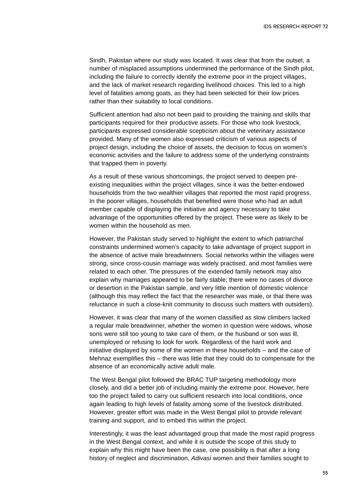Sindh, Pakistan where our study was located. It was clear that from the outset, a number of misplaced assumptions undermined the performance of the Sindh pilot, including the failure to correctly identify the extreme poor in the project villages, and the lack of market research regarding livelihood choices. This led to a high level of fatalities among goats, as they had been selected for their low prices rather than their suitability to local conditions.

Sufficient attention had also not been paid to providing the training and skills that participants required for their productive assets. For those who took livestock, participants expressed considerable scepticism about the veterinary assistance provided. Many of the women also expressed criticism of various aspects of project design, including the choice of assets, the decision to focus on women's economic activities and the failure to address some of the underlying constraints that trapped them in poverty.

As a result of these various shortcomings, the project served to deepen preexisting inequalities within the project villages, since it was the better-endowed households from the two wealthier villages that reported the most rapid progress. In the poorer villages, households that benefited were those who had an adult member capable of displaying the initiative and agency necessary to take advantage of the opportunities offered by the project. These were as likely to be women within the household as men.

However, the Pakistan study served to highlight the extent to which patriarchal constraints undermined women's capacity to take advantage of project support in the absence of active male breadwinners. Social networks within the villages were strong, since cross-cousin marriage was widely practised, and most families were related to each other. The pressures of the extended family network may also explain why marriages appeared to be fairly stable; there were no cases of divorce or desertion in the Pakistan sample, and very little mention of domestic violence (although this may reflect the fact that the researcher was male, or that there was reluctance in such a close-knit community to discuss such matters with outsiders).

However, it was clear that many of the women classified as slow climbers lacked a regular male breadwinner, whether the women in question were widows, whose sons were still too young to take care of them, or the husband or son was ill, unemployed or refusing to look for work. Regardless of the hard work and initiative displayed by some of the women in these households – and the case of Mehnaz exemplifies this – there was little that they could do to compensate for the absence of an economically active adult male.

The West Bengal pilot followed the BRAC TUP targeting methodology more closely, and did a better job of including mainly the extreme poor. However, here too the project failed to carry out sufficient research into local conditions, once again leading to high levels of fatality among some of the livestock distributed. However, greater effort was made in the West Bengal pilot to provide relevant training and support, and to embed this within the project.

Interestingly, it was the least advantaged group that made the most rapid progress in the West Bengal context, and while it is outside the scope of this study to explain why this might have been the case, one possibility is that after a long history of neglect and discrimination, *Adivasi* women and their families sought to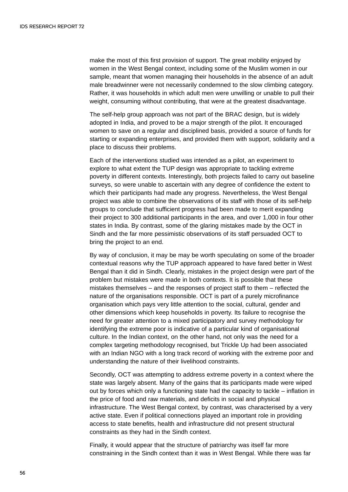make the most of this first provision of support. The great mobility enjoyed by women in the West Bengal context, including some of the Muslim women in our sample, meant that women managing their households in the absence of an adult male breadwinner were not necessarily condemned to the slow climbing category. Rather, it was households in which adult men were unwilling or unable to pull their weight, consuming without contributing, that were at the greatest disadvantage.

The self-help group approach was not part of the BRAC design, but is widely adopted in India, and proved to be a major strength of the pilot. It encouraged women to save on a regular and disciplined basis, provided a source of funds for starting or expanding enterprises, and provided them with support, solidarity and a place to discuss their problems.

Each of the interventions studied was intended as a pilot, an experiment to explore to what extent the TUP design was appropriate to tackling extreme poverty in different contexts. Interestingly, both projects failed to carry out baseline surveys, so were unable to ascertain with any degree of confidence the extent to which their participants had made any progress. Nevertheless, the West Bengal project was able to combine the observations of its staff with those of its self-help groups to conclude that sufficient progress had been made to merit expanding their project to 300 additional participants in the area, and over 1,000 in four other states in India. By contrast, some of the glaring mistakes made by the OCT in Sindh and the far more pessimistic observations of its staff persuaded OCT to bring the project to an end.

By way of conclusion, it may be may be worth speculating on some of the broader contextual reasons why the TUP approach appeared to have fared better in West Bengal than it did in Sindh. Clearly, mistakes in the project design were part of the problem but mistakes were made in both contexts. It is possible that these mistakes themselves – and the responses of project staff to them – reflected the nature of the organisations responsible. OCT is part of a purely microfinance organisation which pays very little attention to the social, cultural, gender and other dimensions which keep households in poverty. Its failure to recognise the need for greater attention to a mixed participatory and survey methodology for identifying the extreme poor is indicative of a particular kind of organisational culture. In the Indian context, on the other hand, not only was the need for a complex targeting methodology recognised, but Trickle Up had been associated with an Indian NGO with a long track record of working with the extreme poor and understanding the nature of their livelihood constraints.

Secondly, OCT was attempting to address extreme poverty in a context where the state was largely absent. Many of the gains that its participants made were wiped out by forces which only a functioning state had the capacity to tackle – inflation in the price of food and raw materials, and deficits in social and physical infrastructure. The West Bengal context, by contrast, was characterised by a very active state. Even if political connections played an important role in providing access to state benefits, health and infrastructure did not present structural constraints as they had in the Sindh context.

Finally, it would appear that the structure of patriarchy was itself far more constraining in the Sindh context than it was in West Bengal. While there was far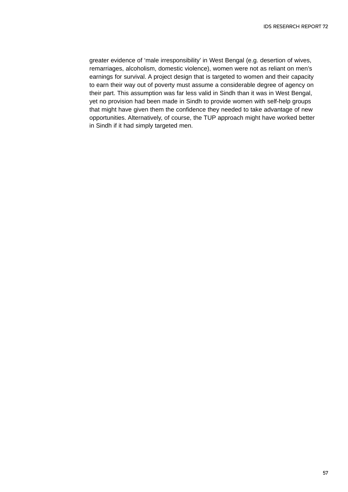greater evidence of 'male irresponsibility' in West Bengal (e.g. desertion of wives, remarriages, alcoholism, domestic violence), women were not as reliant on men's earnings for survival. A project design that is targeted to women and their capacity to earn their way out of poverty must assume a considerable degree of agency on their part. This assumption was far less valid in Sindh than it was in West Bengal, yet no provision had been made in Sindh to provide women with self-help groups that might have given them the confidence they needed to take advantage of new opportunities. Alternatively, of course, the TUP approach might have worked better in Sindh if it had simply targeted men.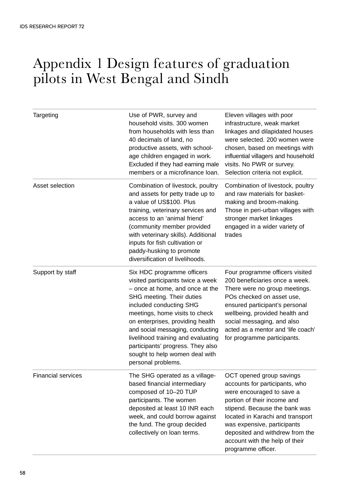# Appendix 1 Design features of graduation pilots in West Bengal and Sindh

| Targeting                 | Use of PWR, survey and<br>household visits. 300 women<br>from households with less than<br>40 decimals of land, no<br>productive assets, with school-<br>age children engaged in work.<br>Excluded if they had earning male<br>members or a microfinance loan.                                                                                                                                          | Eleven villages with poor<br>infrastructure, weak market<br>linkages and dilapidated houses<br>were selected, 200 women were<br>chosen, based on meetings with<br>influential villagers and household<br>visits. No PWR or survey.<br>Selection criteria not explicit.                                                |
|---------------------------|---------------------------------------------------------------------------------------------------------------------------------------------------------------------------------------------------------------------------------------------------------------------------------------------------------------------------------------------------------------------------------------------------------|-----------------------------------------------------------------------------------------------------------------------------------------------------------------------------------------------------------------------------------------------------------------------------------------------------------------------|
| Asset selection           | Combination of livestock, poultry<br>and assets for petty trade up to<br>a value of US\$100. Plus<br>training, veterinary services and<br>access to an 'animal friend'<br>(community member provided<br>with veterinary skills). Additional<br>inputs for fish cultivation or<br>paddy-husking to promote<br>diversification of livelihoods.                                                            | Combination of livestock, poultry<br>and raw materials for basket-<br>making and broom-making.<br>Those in peri-urban villages with<br>stronger market linkages<br>engaged in a wider variety of<br>trades                                                                                                            |
| Support by staff          | Six HDC programme officers<br>visited participants twice a week<br>- once at home, and once at the<br>SHG meeting. Their duties<br>included conducting SHG<br>meetings, home visits to check<br>on enterprises, providing health<br>and social messaging, conducting<br>livelihood training and evaluating<br>participants' progress. They also<br>sought to help women deal with<br>personal problems. | Four programme officers visited<br>200 beneficiaries once a week.<br>There were no group meetings.<br>POs checked on asset use,<br>ensured participant's personal<br>wellbeing, provided health and<br>social messaging, and also<br>acted as a mentor and 'life coach'<br>for programme participants.                |
| <b>Financial services</b> | The SHG operated as a village-<br>based financial intermediary<br>composed of 10-20 TUP<br>participants. The women<br>deposited at least 10 INR each<br>week, and could borrow against<br>the fund. The group decided<br>collectively on loan terms.                                                                                                                                                    | OCT opened group savings<br>accounts for participants, who<br>were encouraged to save a<br>portion of their income and<br>stipend. Because the bank was<br>located in Karachi and transport<br>was expensive, participants<br>deposited and withdrew from the<br>account with the help of their<br>programme officer. |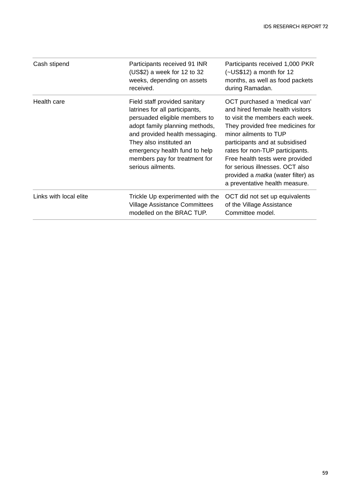| Cash stipend           | Participants received 91 INR<br>$(US$2)$ a week for 12 to 32<br>weeks, depending on assets<br>received.                                                                                                                                                                                | Participants received 1,000 PKR<br>$(-USS12)$ a month for 12<br>months, as well as food packets<br>during Ramadan.                                                                                                                                                                                                                                                                          |
|------------------------|----------------------------------------------------------------------------------------------------------------------------------------------------------------------------------------------------------------------------------------------------------------------------------------|---------------------------------------------------------------------------------------------------------------------------------------------------------------------------------------------------------------------------------------------------------------------------------------------------------------------------------------------------------------------------------------------|
| Health care            | Field staff provided sanitary<br>latrines for all participants,<br>persuaded eligible members to<br>adopt family planning methods,<br>and provided health messaging.<br>They also instituted an<br>emergency health fund to help<br>members pay for treatment for<br>serious ailments. | OCT purchased a 'medical van'<br>and hired female health visitors<br>to visit the members each week.<br>They provided free medicines for<br>minor ailments to TUP<br>participants and at subsidised<br>rates for non-TUP participants.<br>Free health tests were provided<br>for serious illnesses. OCT also<br>provided a <i>matka</i> (water filter) as<br>a preventative health measure. |
| Links with local elite | Trickle Up experimented with the<br><b>Village Assistance Committees</b><br>modelled on the BRAC TUP.                                                                                                                                                                                  | OCT did not set up equivalents<br>of the Village Assistance<br>Committee model.                                                                                                                                                                                                                                                                                                             |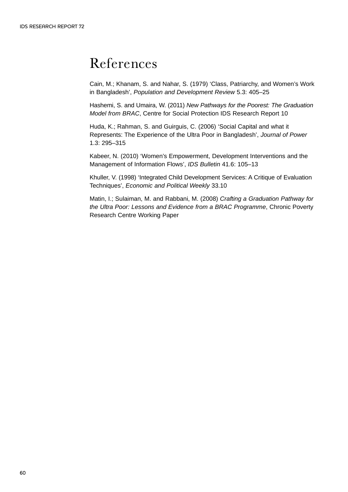# References

Cain, M.; Khanam, S. and Nahar, S. (1979) 'Class, Patriarchy, and Women's Work in Bangladesh', *Population and Development Review* 5.3: 405–25

Hashemi, S. and Umaira, W. (2011) *New Pathways for the Poorest: The Graduation Model from BRAC*, Centre for Social Protection IDS Research Report 10

Huda, K.; Rahman, S. and Guirguis, C. (2006) 'Social Capital and what it Represents: The Experience of the Ultra Poor in Bangladesh', *Journal of Power* 1.3: 295–315

Kabeer, N. (2010) 'Women's Empowerment, Development Interventions and the Management of Information Flows', *IDS Bulletin* 41.6: 105–13

Khuller, V. (1998) 'Integrated Child Development Services: A Critique of Evaluation Techniques', *Economic and Political Weekly* 33.10

Matin, I.; Sulaiman, M. and Rabbani, M. (2008) *Crafting a Graduation Pathway for the Ultra Poor: Lessons and Evidence from a BRAC Programme*, Chronic Poverty Research Centre Working Paper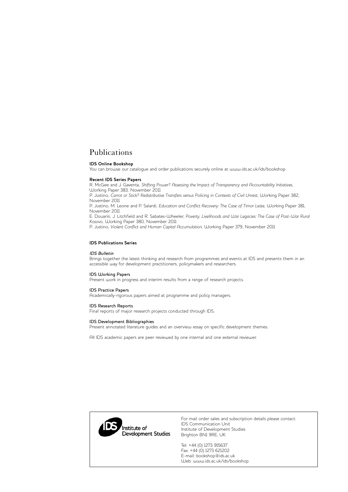### Publications

### **IDS Online Bookshop**

You can browse our catalogue and order publications securely online at www.ids.ac.uk/ids/bookshop

#### **Recent IDS Series Papers**

R. McGee and J. Gaventa, *Shifting Power? Assessing the Impact of Transparency and Accountability Initiatives*, Working Paper 383, November 2011

P. Justino, *Carrot or Stick? Redistributive Transfers versus Policing in Contexts of Civil Unrest*, Working Paper 382, November 2011

P. Justino, M. Leone and P. Salardi, *Education and Conflict Recovery: The Case of Timor Leste*, Working Paper 381, November 2011

E. Douarin, J. Litchfield and R. Sabates-Wheeler, *Poverty, Livelihoods and War Legacies: The Case of Post-War Rural Kosovo*, Working Paper 380, November 2011

P. Justino, *Violent Conflict and Human Capital Accumulation*, Working Paper 379, November 2011

#### **IDS Publications Series**

#### IDS Bulletin

Brings together the latest thinking and research from programmes and events at IDS and presents them in an accessible way for development practitioners, policymakers and researchers.

#### IDS Working Papers

Present work in progress and interim results from a range of research projects.

#### IDS Practice Papers

Academically-rigorous papers aimed at programme and policy managers.

#### IDS Research Reports

Final reports of major research projects conducted through IDS.

#### IDS Development Bibliographies

Present annotated literature guides and an overview essay on specific development themes.

All IDS academic papers are peer reviewed by one internal and one external reviewer.



For mail order sales and subscription details please contact: IDS Communication Unit Institute of Development Studies Brighton BN1 9RE, UK

Tel: +44 (0) 1273 915637 Fax: +44 (0) 1273 621202 E-mail: bookshop@ids.ac.uk Web: www.ids.ac.uk/ids/bookshop